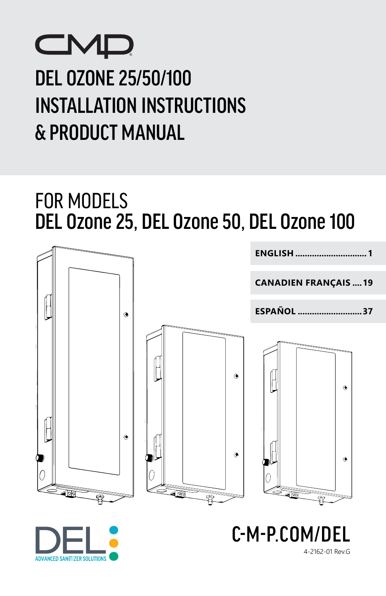# **CMD** DEL OZONE 25/50/100 INSTALLATION INSTRUCTIONS & PRODUCT MANUAL

# FOR MODELS DEL Ozone 25, DEL Ozone 50, DEL Ozone 100





4-2162-01 Rev.G

C-M-P.COM/I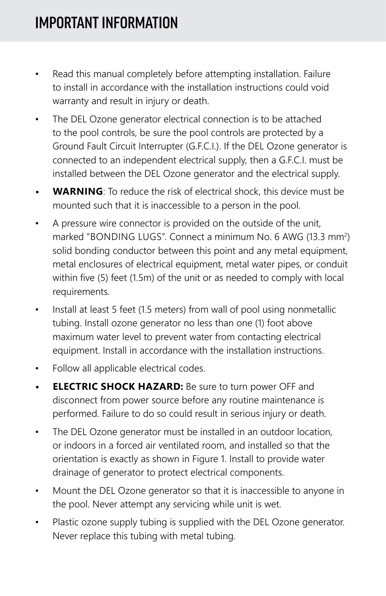- Read this manual completely before attempting installation. Failure to install in accordance with the installation instructions could void warranty and result in injury or death.
- The DEL Ozone generator electrical connection is to be attached to the pool controls, be sure the pool controls are protected by a Ground Fault Circuit Interrupter (G.F.C.I.). If the DEL Ozone generator is connected to an independent electrical supply, then a G.F.C.I. must be installed between the DEL Ozone generator and the electrical supply.
- **• WARNING**: To reduce the risk of electrical shock, this device must be mounted such that it is inaccessible to a person in the pool.
- A pressure wire connector is provided on the outside of the unit, marked "BONDING LUGS". Connect a minimum No. 6 AWG (13.3 mm<sup>2</sup>) solid bonding conductor between this point and any metal equipment, metal enclosures of electrical equipment, metal water pipes, or conduit within five (5) feet (1.5m) of the unit or as needed to comply with local requirements.
- Install at least 5 feet (1.5 meters) from wall of pool using nonmetallic tubing. Install ozone generator no less than one (1) foot above maximum water level to prevent water from contacting electrical equipment. Install in accordance with the installation instructions.
- Follow all applicable electrical codes.
- **• ELECTRIC SHOCK HAZARD:** Be sure to turn power OFF and disconnect from power source before any routine maintenance is performed. Failure to do so could result in serious injury or death.
- The DEL Ozone generator must be installed in an outdoor location, or indoors in a forced air ventilated room, and installed so that the orientation is exactly as shown in Figure 1. Install to provide water drainage of generator to protect electrical components.
- Mount the DEL Ozone generator so that it is inaccessible to anyone in the pool. Never attempt any servicing while unit is wet.
- Plastic ozone supply tubing is supplied with the DEL Ozone generator. Never replace this tubing with metal tubing.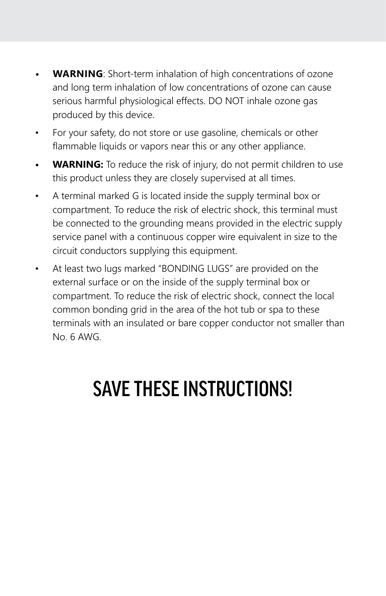- **• WARNING**: Short-term inhalation of high concentrations of ozone and long term inhalation of low concentrations of ozone can cause serious harmful physiological effects. DO NOT inhale ozone gas produced by this device.
- For your safety, do not store or use gasoline, chemicals or other flammable liquids or vapors near this or any other appliance.
- **• WARNING:** To reduce the risk of injury, do not permit children to use this product unless they are closely supervised at all times.
- A terminal marked G is located inside the supply terminal box or compartment. To reduce the risk of electric shock, this terminal must be connected to the grounding means provided in the electric supply service panel with a continuous copper wire equivalent in size to the circuit conductors supplying this equipment.
- At least two lugs marked "BONDING LUGS" are provided on the external surface or on the inside of the supply terminal box or compartment. To reduce the risk of electric shock, connect the local common bonding grid in the area of the hot tub or spa to these terminals with an insulated or bare copper conductor not smaller than No. 6 AWG.

# SAVE THESE INSTRUCTIONS!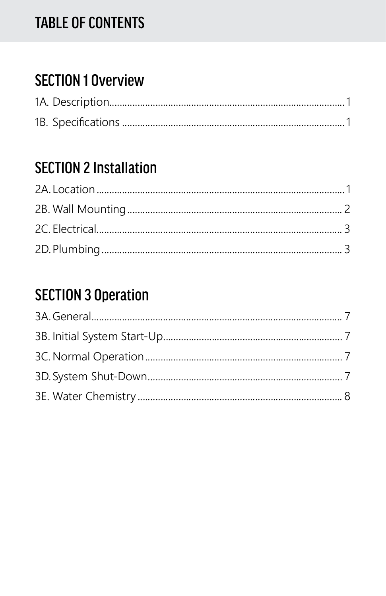## **TABLE OF CONTENTS**

## **SECTION 1 Overview**

## **SECTION 2 Installation**

## **SECTION 3 Operation**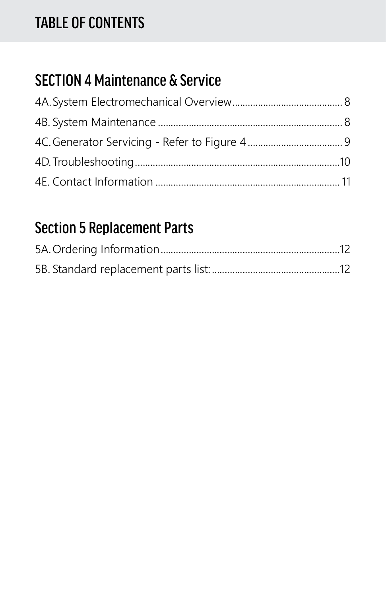## TABLE OF CONTENTS

## SECTION 4 Maintenance & Service

## Section 5 Replacement Parts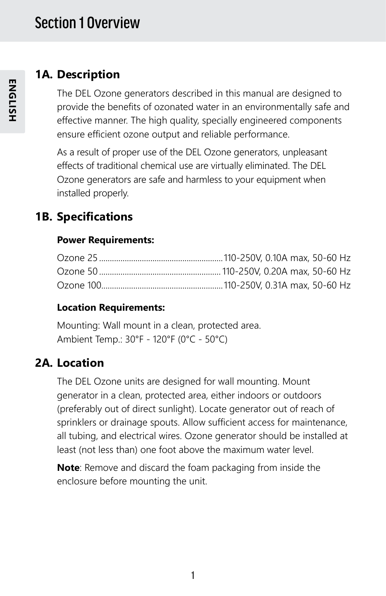#### **1A. Description**

The DEL Ozone generators described in this manual are designed to provide the benefits of ozonated water in an environmentally safe and effective manner. The high quality, specially engineered components ensure efficient ozone output and reliable performance.

As a result of proper use of the DEL Ozone generators, unpleasant effects of traditional chemical use are virtually eliminated. The DEL Ozone generators are safe and harmless to your equipment when installed properly.

### **1B. Specifications**

#### **Power Requirements:**

#### **Location Requirements:**

Mounting: Wall mount in a clean, protected area. Ambient Temp.: 30°F - 120°F (0°C - 50°C)

### **2A. Location**

The DEL Ozone units are designed for wall mounting. Mount generator in a clean, protected area, either indoors or outdoors (preferably out of direct sunlight). Locate generator out of reach of sprinklers or drainage spouts. Allow sufficient access for maintenance, all tubing, and electrical wires. Ozone generator should be installed at least (not less than) one foot above the maximum water level.

**Note**: Remove and discard the foam packaging from inside the enclosure before mounting the unit.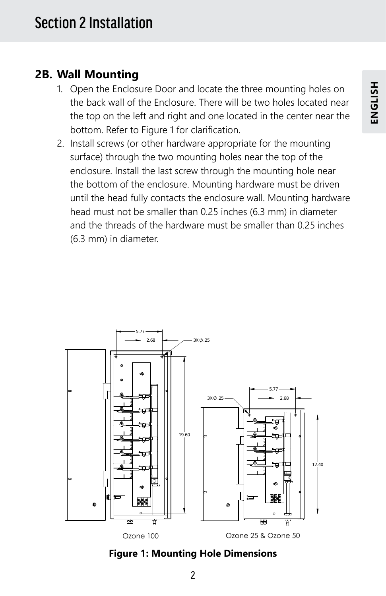#### **2B. Wall Mounting**

- 1. Open the Enclosure Door and locate the three mounting holes on the back wall of the Enclosure. There will be two holes located near the top on the left and right and one located in the center near the bottom. Refer to Figure 1 for clarification.
- 2. Install screws (or other hardware appropriate for the mounting surface) through the two mounting holes near the top of the enclosure. Install the last screw through the mounting hole near the bottom of the enclosure. Mounting hardware must be driven until the head fully contacts the enclosure wall. Mounting hardware head must not be smaller than 0.25 inches (6.3 mm) in diameter and the threads of the hardware must be smaller than 0.25 inches (6.3 mm) in diameter.



**Figure 1: Mounting Hole Dimensions**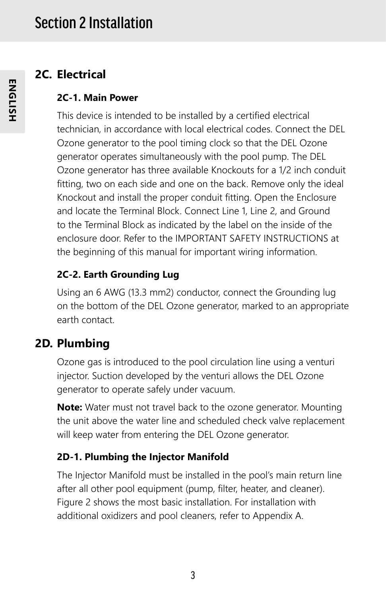#### **2C. Electrical**

#### **2C-1. Main Power**

This device is intended to be installed by a certified electrical technician, in accordance with local electrical codes. Connect the DEL Ozone generator to the pool timing clock so that the DEL Ozone generator operates simultaneously with the pool pump. The DEL Ozone generator has three available Knockouts for a 1/2 inch conduit fitting, two on each side and one on the back. Remove only the ideal Knockout and install the proper conduit fitting. Open the Enclosure and locate the Terminal Block. Connect Line 1, Line 2, and Ground to the Terminal Block as indicated by the label on the inside of the enclosure door. Refer to the IMPORTANT SAFETY INSTRUCTIONS at the beginning of this manual for important wiring information.

#### **2C-2. Earth Grounding Lug**

Using an 6 AWG (13.3 mm2) conductor, connect the Grounding lug on the bottom of the DEL Ozone generator, marked to an appropriate earth contact.

## **2D. Plumbing**

Ozone gas is introduced to the pool circulation line using a venturi injector. Suction developed by the venturi allows the DEL Ozone generator to operate safely under vacuum.

**Note:** Water must not travel back to the ozone generator. Mounting the unit above the water line and scheduled check valve replacement will keep water from entering the DEL Ozone generator.

#### **2D-1. Plumbing the Injector Manifold**

The Injector Manifold must be installed in the pool's main return line after all other pool equipment (pump, filter, heater, and cleaner). Figure 2 shows the most basic installation. For installation with additional oxidizers and pool cleaners, refer to Appendix A.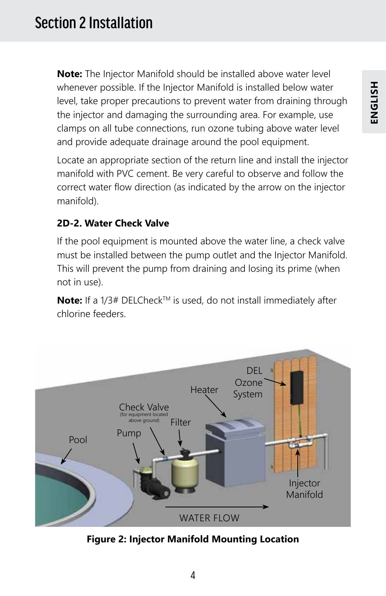**Note:** The Injector Manifold should be installed above water level whenever possible. If the Injector Manifold is installed below water level, take proper precautions to prevent water from draining through the injector and damaging the surrounding area. For example, use clamps on all tube connections, run ozone tubing above water level and provide adequate drainage around the pool equipment.

Locate an appropriate section of the return line and install the injector manifold with PVC cement. Be very careful to observe and follow the correct water flow direction (as indicated by the arrow on the injector manifold).

#### **2D-2. Water Check Valve**

If the pool equipment is mounted above the water line, a check valve must be installed between the pump outlet and the Injector Manifold. This will prevent the pump from draining and losing its prime (when not in use).

Note: If a 1/3# DELCheck<sup>™</sup> is used, do not install immediately after chlorine feeders.



**Figure 2: Injector Manifold Mounting Location**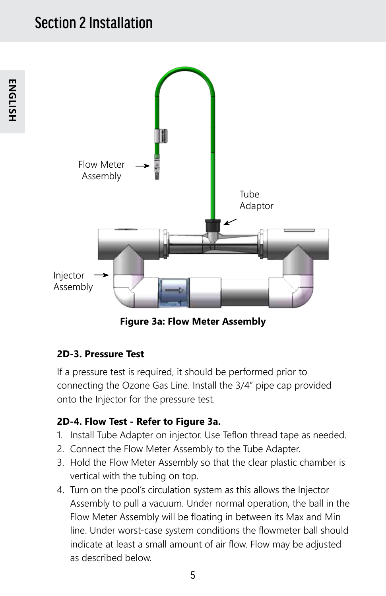## Section 2 Installation



**Figure 3a: Flow Meter Assembly**

#### **2D-3. Pressure Test**

If a pressure test is required, it should be performed prior to connecting the Ozone Gas Line. Install the 3/4" pipe cap provided onto the Injector for the pressure test.

#### **2D-4. Flow Test - Refer to Figure 3a.**

- 1. Install Tube Adapter on injector. Use Teflon thread tape as needed.
- 2. Connect the Flow Meter Assembly to the Tube Adapter.
- 3. Hold the Flow Meter Assembly so that the clear plastic chamber is vertical with the tubing on top.
- 4. Turn on the pool's circulation system as this allows the Injector Assembly to pull a vacuum. Under normal operation, the ball in the Flow Meter Assembly will be floating in between its Max and Min line. Under worst-case system conditions the flowmeter ball should indicate at least a small amount of air flow. Flow may be adjusted as described below.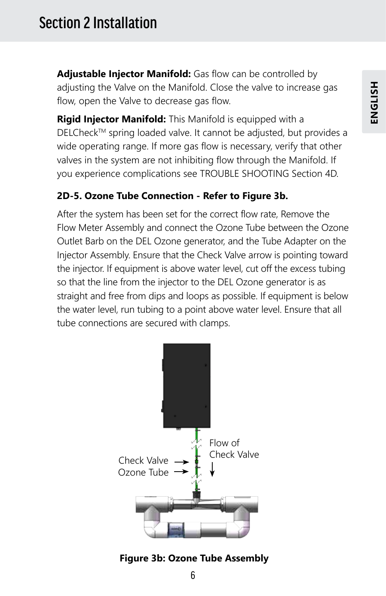**Adjustable Injector Manifold:** Gas flow can be controlled by adjusting the Valve on the Manifold. Close the valve to increase gas flow, open the Valve to decrease gas flow.

**Rigid Injector Manifold:** This Manifold is equipped with a DELCheck™ spring loaded valve. It cannot be adjusted, but provides a wide operating range. If more gas flow is necessary, verify that other valves in the system are not inhibiting flow through the Manifold. If you experience complications see TROUBLE SHOOTING Section 4D.

#### **2D-5. Ozone Tube Connection - Refer to Figure 3b.**

After the system has been set for the correct flow rate, Remove the Flow Meter Assembly and connect the Ozone Tube between the Ozone Outlet Barb on the DEL Ozone generator, and the Tube Adapter on the Injector Assembly. Ensure that the Check Valve arrow is pointing toward the injector. If equipment is above water level, cut off the excess tubing so that the line from the injector to the DEL Ozone generator is as straight and free from dips and loops as possible. If equipment is below the water level, run tubing to a point above water level. Ensure that all tube connections are secured with clamps.



#### **Figure 3b: Ozone Tube Assembly**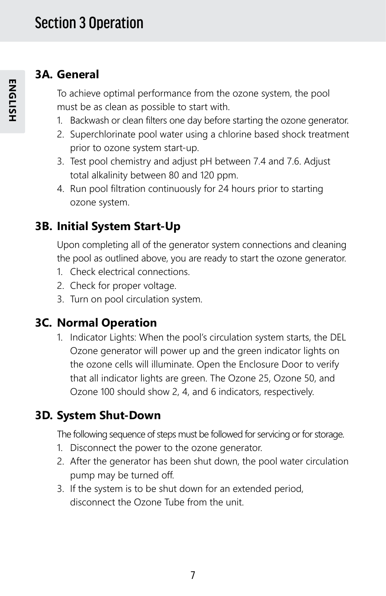### **3A. General**

To achieve optimal performance from the ozone system, the pool must be as clean as possible to start with.

- 1. Backwash or clean filters one day before starting the ozone generator.
- 2. Superchlorinate pool water using a chlorine based shock treatment prior to ozone system start-up.
- 3. Test pool chemistry and adjust pH between 7.4 and 7.6. Adjust total alkalinity between 80 and 120 ppm.
- 4. Run pool filtration continuously for 24 hours prior to starting ozone system.

## **3B. Initial System Start-Up**

Upon completing all of the generator system connections and cleaning the pool as outlined above, you are ready to start the ozone generator.

- 1. Check electrical connections.
- 2. Check for proper voltage.
- 3. Turn on pool circulation system.

### **3C. Normal Operation**

1. Indicator Lights: When the pool's circulation system starts, the DEL Ozone generator will power up and the green indicator lights on the ozone cells will illuminate. Open the Enclosure Door to verify that all indicator lights are green. The Ozone 25, Ozone 50, and Ozone 100 should show 2, 4, and 6 indicators, respectively.

### **3D. System Shut-Down**

The following sequence of steps must be followed for servicing or for storage.

- 1. Disconnect the power to the ozone generator.
- 2. After the generator has been shut down, the pool water circulation pump may be turned off.
- 3. If the system is to be shut down for an extended period, disconnect the Ozone Tube from the unit.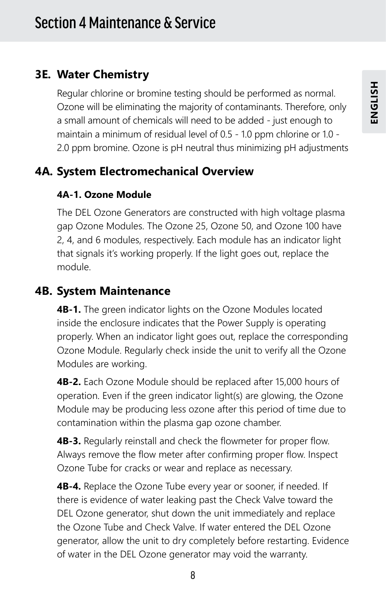## **3E. Water Chemistry**

Regular chlorine or bromine testing should be performed as normal. Ozone will be eliminating the majority of contaminants. Therefore, only a small amount of chemicals will need to be added - just enough to maintain a minimum of residual level of 0.5 - 1.0 ppm chlorine or 1.0 - 2.0 ppm bromine. Ozone is pH neutral thus minimizing pH adjustments

## **4A. System Electromechanical Overview**

#### **4A-1. Ozone Module**

The DEL Ozone Generators are constructed with high voltage plasma gap Ozone Modules. The Ozone 25, Ozone 50, and Ozone 100 have 2, 4, and 6 modules, respectively. Each module has an indicator light that signals it's working properly. If the light goes out, replace the module.

### **4B. System Maintenance**

**4B-1.** The green indicator lights on the Ozone Modules located inside the enclosure indicates that the Power Supply is operating properly. When an indicator light goes out, replace the corresponding Ozone Module. Regularly check inside the unit to verify all the Ozone Modules are working.

**4B-2.** Each Ozone Module should be replaced after 15,000 hours of operation. Even if the green indicator light(s) are glowing, the Ozone Module may be producing less ozone after this period of time due to contamination within the plasma gap ozone chamber.

**4B-3.** Regularly reinstall and check the flowmeter for proper flow. Always remove the flow meter after confirming proper flow. Inspect Ozone Tube for cracks or wear and replace as necessary.

**4B-4.** Replace the Ozone Tube every year or sooner, if needed. If there is evidence of water leaking past the Check Valve toward the DEL Ozone generator, shut down the unit immediately and replace the Ozone Tube and Check Valve. If water entered the DEL Ozone generator, allow the unit to dry completely before restarting. Evidence of water in the DEL Ozone generator may void the warranty.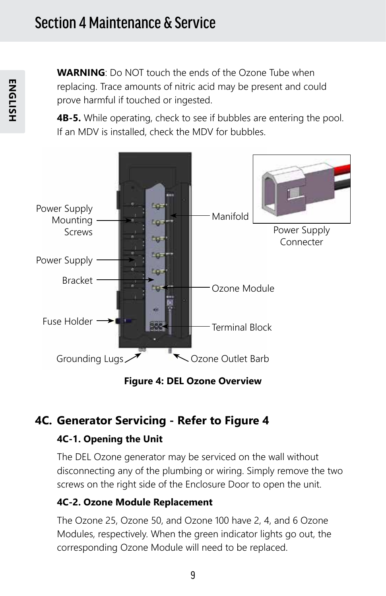**WARNING**: Do NOT touch the ends of the Ozone Tube when replacing. Trace amounts of nitric acid may be present and could prove harmful if touched or ingested.

**4B-5.** While operating, check to see if bubbles are entering the pool. If an MDV is installed, check the MDV for bubbles.



**Figure 4: DEL Ozone Overview**

### **4C. Generator Servicing - Refer to Figure 4**

#### **4C-1. Opening the Unit**

The DEL Ozone generator may be serviced on the wall without disconnecting any of the plumbing or wiring. Simply remove the two screws on the right side of the Enclosure Door to open the unit.

#### **4C-2. Ozone Module Replacement**

The Ozone 25, Ozone 50, and Ozone 100 have 2, 4, and 6 Ozone Modules, respectively. When the green indicator lights go out, the corresponding Ozone Module will need to be replaced.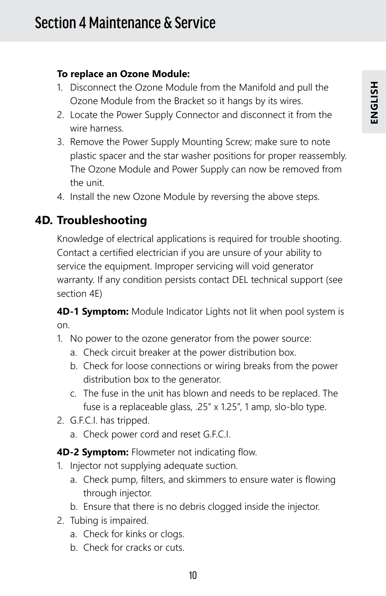#### **To replace an Ozone Module:**

- 1. Disconnect the Ozone Module from the Manifold and pull the Ozone Module from the Bracket so it hangs by its wires.
- 2. Locate the Power Supply Connector and disconnect it from the wire harness.
- 3. Remove the Power Supply Mounting Screw; make sure to note plastic spacer and the star washer positions for proper reassembly. The Ozone Module and Power Supply can now be removed from the unit.
- 4. Install the new Ozone Module by reversing the above steps.

### **4D. Troubleshooting**

Knowledge of electrical applications is required for trouble shooting. Contact a certified electrician if you are unsure of your ability to service the equipment. Improper servicing will void generator warranty. If any condition persists contact DEL technical support (see section 4E)

**4D-1 Symptom:** Module Indicator Lights not lit when pool system is on.

- 1. No power to the ozone generator from the power source:
	- a. Check circuit breaker at the power distribution box.
	- b. Check for loose connections or wiring breaks from the power distribution box to the generator.
	- c. The fuse in the unit has blown and needs to be replaced. The fuse is a replaceable glass, .25" x 1.25", 1 amp, slo-blo type.
- 2. G.F.C.I. has tripped.
	- a. Check power cord and reset G.F.C.I.
- **4D-2 Symptom:** Flowmeter not indicating flow.
- 1. Injector not supplying adequate suction.
	- a. Check pump, filters, and skimmers to ensure water is flowing through injector.
	- b. Ensure that there is no debris clogged inside the injector.
- 2. Tubing is impaired.
	- a. Check for kinks or clogs.
	- b. Check for cracks or cuts.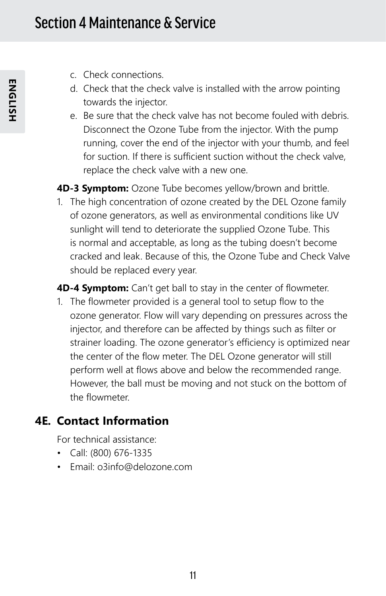- c. Check connections.
- d. Check that the check valve is installed with the arrow pointing towards the injector.
- e. Be sure that the check valve has not become fouled with debris. Disconnect the Ozone Tube from the injector. With the pump running, cover the end of the injector with your thumb, and feel for suction. If there is sufficient suction without the check valve, replace the check valve with a new one.

**4D-3 Symptom:** Ozone Tube becomes yellow/brown and brittle.

1. The high concentration of ozone created by the DEL Ozone family of ozone generators, as well as environmental conditions like UV sunlight will tend to deteriorate the supplied Ozone Tube. This is normal and acceptable, as long as the tubing doesn't become cracked and leak. Because of this, the Ozone Tube and Check Valve should be replaced every year.

**4D-4 Symptom:** Can't get ball to stay in the center of flowmeter.

1. The flowmeter provided is a general tool to setup flow to the ozone generator. Flow will vary depending on pressures across the injector, and therefore can be affected by things such as filter or strainer loading. The ozone generator's efficiency is optimized near the center of the flow meter. The DEL Ozone generator will still perform well at flows above and below the recommended range. However, the ball must be moving and not stuck on the bottom of the flowmeter.

### **4E. Contact Information**

For technical assistance:

- Call: (800) 676-1335
- Email: o3info@delozone.com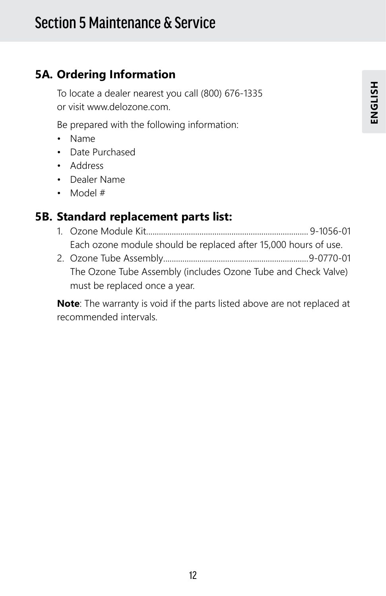### **5A. Ordering Information**

To locate a dealer nearest you call (800) 676-1335 or visit www.delozone.com.

Be prepared with the following information:

- Name
- Date Purchased
- Address
- Dealer Name
- Model #

### **5B. Standard replacement parts list:**

- 1. Ozone Module Kit............................................................................ 9-1056-01 Each ozone module should be replaced after 15,000 hours of use.
- 2. Ozone Tube Assembly....................................................................9-0770-01 The Ozone Tube Assembly (includes Ozone Tube and Check Valve) must be replaced once a year.

**Note**: The warranty is void if the parts listed above are not replaced at recommended intervals.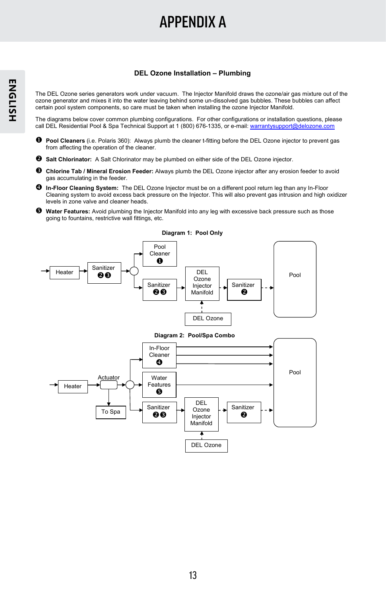## APPENDIX A

#### **DEL Ozone Installation – Plumbing**

The DEL Ozone series generators work under vacuum. The Injector Manifold draws the ozone/air gas mixture out of the ozone generator and mixes it into the water leaving behind some un-dissolved gas bubbles. These bubbles can affect certain pool system components, so care must be taken when installing the ozone Injector Manifold.

The diagrams below cover common plumbing configurations. For other configurations or installation questions, please call DEL Residential Pool & Spa Technical Support at 1 (800) 676-1335, or e-mail: warrantysupport@delozone.com

- **Pool Cleaners** (i.e. Polaris 360): Always plumb the cleaner t-fitting before the DEL Ozone injector to prevent gas from affecting the operation of the cleaner.
- **Salt Chlorinator:** A Salt Chlorinator may be plumbed on either side of the DEL Ozone injector.
- **Chlorine Tab / Mineral Erosion Feeder:** Always plumb the DEL Ozone injector after any erosion feeder to avoid gas accumulating in the feeder.
- **In-Floor Cleaning System:** The DEL Ozone Injector must be on a different pool return leg than any In-Floor Cleaning system to avoid excess back pressure on the Injector. This will also prevent gas intrusion and high oxidizer levels in zone valve and cleaner heads.
- **Water Features:** Avoid plumbing the Injector Manifold into any leg with excessive back pressure such as those going to fountains, restrictive wall fittings, etc.



#### **Diagram 1: Pool Only**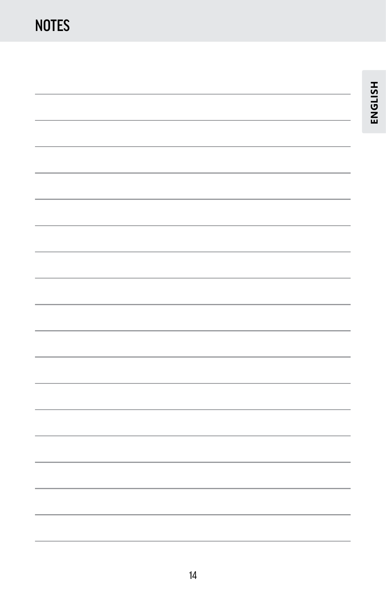**ENGLISH**

ENGLISH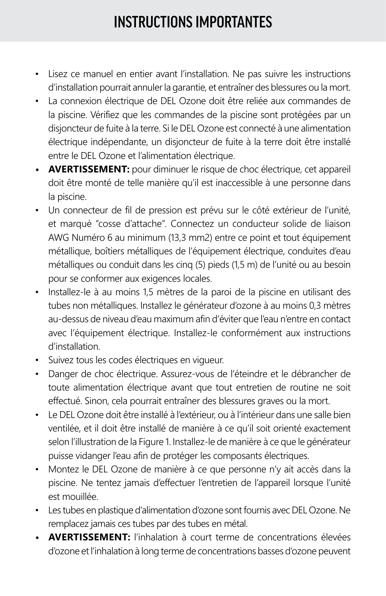## INSTRUCTIONS IMPORTANTES

- Lisez ce manuel en entier avant l'installation. Ne pas suivre les instructions d'installation pourrait annuler la garantie, et entraîner des blessures ou la mort.
- La connexion électrique de DEL Ozone doit être reliée aux commandes de la piscine. Vérifiez que les commandes de la piscine sont protégées par un disjoncteur de fuite à la terre. Si le DEL Ozone est connecté à une alimentation électrique indépendante, un disjoncteur de fuite à la terre doit être installé entre le DEL Ozone et l'alimentation électrique.
- **• AVERTISSEMENT:** pour diminuer le risque de choc électrique, cet appareil doit être monté de telle manière qu'il est inaccessible à une personne dans la piscine.
- Un connecteur de fil de pression est prévu sur le côté extérieur de l'unité, et marqué "cosse d'attache". Connectez un conducteur solide de liaison AWG Numéro 6 au minimum (13,3 mm2) entre ce point et tout équipement métallique, boîtiers métalliques de l'équipement électrique, conduites d'eau métalliques ou conduit dans les cinq (5) pieds (1,5 m) de l'unité ou au besoin pour se conformer aux exigences locales.
- Installez-le à au moins 1,5 mètres de la paroi de la piscine en utilisant des tubes non métalliques. Installez le générateur d'ozone à au moins 0,3 mètres au-dessus de niveau d'eau maximum afin d'éviter que l'eau n'entre en contact avec l'équipement électrique. Installez-le conformément aux instructions d'installation.
- Suivez tous les codes électriques en vigueur.
- Danger de choc électrique. Assurez-vous de l'éteindre et le débrancher de toute alimentation électrique avant que tout entretien de routine ne soit effectué. Sinon, cela pourrait entraîner des blessures graves ou la mort.
- Le DEL Ozone doit être installé à l'extérieur, ou à l'intérieur dans une salle bien ventilée, et il doit être installé de manière à ce qu'il soit orienté exactement selon l'illustration de la Figure 1. Installez-le de manière à ce que le générateur puisse vidanger l'eau afin de protéger les composants électriques.
- Montez le DEL Ozone de manière à ce que personne n'y ait accès dans la piscine. Ne tentez jamais d'effectuer l'entretien de l'appareil lorsque l'unité est mouillée.
- Les tubes en plastique d'alimentation d'ozone sont fournis avec DEL Ozone. Ne remplacez jamais ces tubes par des tubes en métal.
- **• AVERTISSEMENT:** l'inhalation à court terme de concentrations élevées d'ozone et l'inhalation à long terme de concentrations basses d'ozone peuvent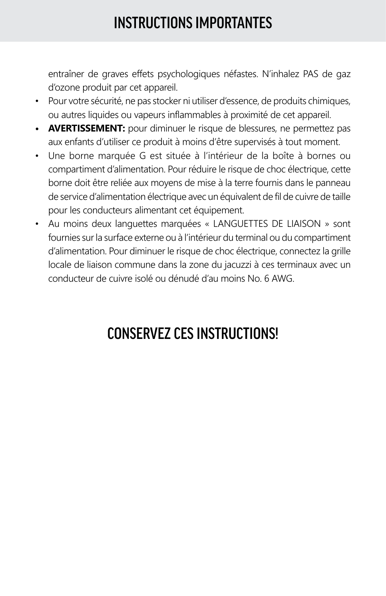## INSTRUCTIONS IMPORTANTES

entraîner de graves effets psychologiques néfastes. N'inhalez PAS de gaz d'ozone produit par cet appareil.

- Pour votre sécurité, ne pas stocker ni utiliser d'essence, de produits chimiques, ou autres liquides ou vapeurs inflammables à proximité de cet appareil.
- **• AVERTISSEMENT:** pour diminuer le risque de blessures, ne permettez pas aux enfants d'utiliser ce produit à moins d'être supervisés à tout moment.
- Une borne marquée G est située à l'intérieur de la boîte à bornes ou compartiment d'alimentation. Pour réduire le risque de choc électrique, cette borne doit être reliée aux moyens de mise à la terre fournis dans le panneau de service d'alimentation électrique avec un équivalent de fil de cuivre de taille pour les conducteurs alimentant cet équipement.
- Au moins deux languettes marquées « LANGUETTES DE LIAISON » sont fournies sur la surface externe ou à l'intérieur du terminal ou du compartiment d'alimentation. Pour diminuer le risque de choc électrique, connectez la grille locale de liaison commune dans la zone du jacuzzi à ces terminaux avec un conducteur de cuivre isolé ou dénudé d'au moins No. 6 AWG.

## CONSERVEZ CES INSTRUCTIONS!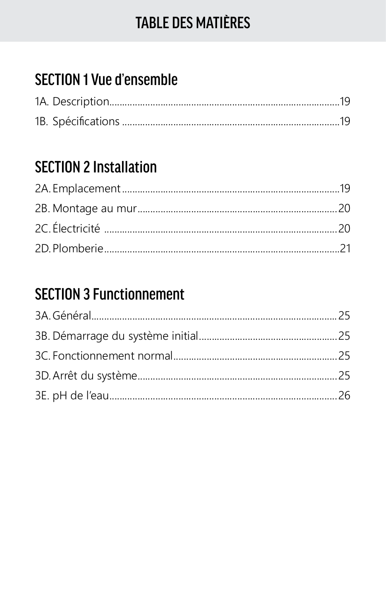## **TABLE DES MATIÈRES**

## **SECTION 1 Vue d'ensemble**

## **SECTION 2 Installation**

## **SECTION 3 Functionnement**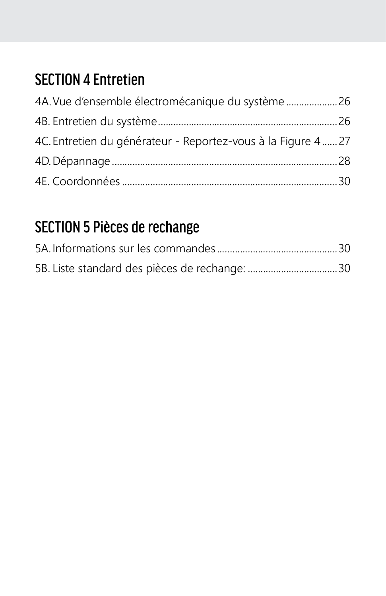## SECTION 4 Entretien

| 4A. Vue d'ensemble électromécanique du système 26            |  |
|--------------------------------------------------------------|--|
|                                                              |  |
| 4C. Entretien du générateur - Reportez-vous à la Figure 4 27 |  |
|                                                              |  |
|                                                              |  |

## SECTION 5 Pièces de rechange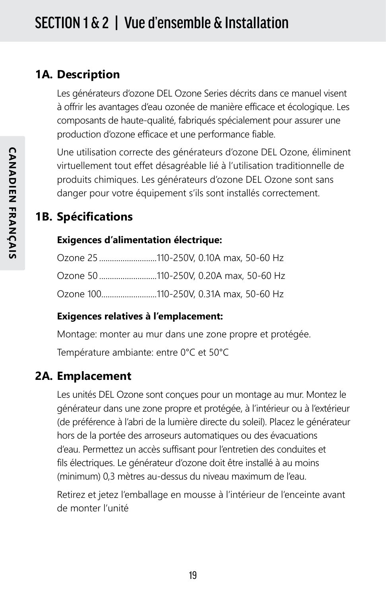### **1A. Description**

Les générateurs d'ozone DEL Ozone Series décrits dans ce manuel visent à offrir les avantages d'eau ozonée de manière efficace et écologique. Les composants de haute-qualité, fabriqués spécialement pour assurer une production d'ozone efficace et une performance fiable.

Une utilisation correcte des générateurs d'ozone DEL Ozone, éliminent virtuellement tout effet désagréable lié à l'utilisation traditionnelle de produits chimiques. Les générateurs d'ozone DEL Ozone sont sans danger pour votre équipement s'ils sont installés correctement.

### **1B. Spécifications**

#### **Exigences d'alimentation électrique:**

| Ozone 25 110-250V, 0.10A max, 50-60 Hz |  |  |
|----------------------------------------|--|--|
| Ozone 50 110-250V, 0.20A max, 50-60 Hz |  |  |
| Ozone 100110-250V, 0.31A max, 50-60 Hz |  |  |

#### **Exigences relatives à l'emplacement:**

Montage: monter au mur dans une zone propre et protégée.

Température ambiante: entre 0°C et 50°C

### **2A. Emplacement**

Les unités DEL Ozone sont conçues pour un montage au mur. Montez le générateur dans une zone propre et protégée, à l'intérieur ou à l'extérieur (de préférence à l'abri de la lumière directe du soleil). Placez le générateur hors de la portée des arroseurs automatiques ou des évacuations d'eau. Permettez un accès suffisant pour l'entretien des conduites et fils électriques. Le générateur d'ozone doit être installé à au moins (minimum) 0,3 mètres au-dessus du niveau maximum de l'eau.

Retirez et jetez l'emballage en mousse à l'intérieur de l'enceinte avant de monter l'unité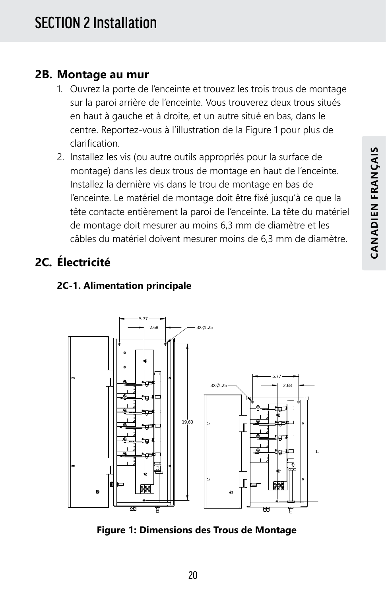#### **2B. Montage au mur**

- 1. Ouvrez la porte de l'enceinte et trouvez les trois trous de montage sur la paroi arrière de l'enceinte. Vous trouverez deux trous situés en haut à gauche et à droite, et un autre situé en bas, dans le centre. Reportez-vous à l'illustration de la Figure 1 pour plus de clarification.
- 2. Installez les vis (ou autre outils appropriés pour la surface de montage) dans les deux trous de montage en haut de l'enceinte. Installez la dernière vis dans le trou de montage en bas de l'enceinte. Le matériel de montage doit être fixé jusqu'à ce que la tête contacte entièrement la paroi de l'enceinte. La tête du matériel de montage doit mesurer au moins 6,3 mm de diamètre et les câbles du matériel doivent mesurer moins de 6,3 mm de diamètre.

## **2C. Électricité**



#### **2C-1. Alimentation principale**

**Figure 1: Dimensions des Trous de Montage**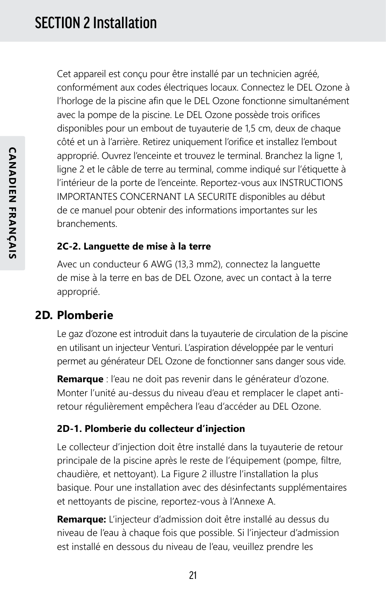Cet appareil est conçu pour être installé par un technicien agréé, conformément aux codes électriques locaux. Connectez le DEL Ozone à l'horloge de la piscine afin que le DEL Ozone fonctionne simultanément avec la pompe de la piscine. Le DEL Ozone possède trois orifices disponibles pour un embout de tuyauterie de 1,5 cm, deux de chaque côté et un à l'arrière. Retirez uniquement l'orifice et installez l'embout approprié. Ouvrez l'enceinte et trouvez le terminal. Branchez la ligne 1, ligne 2 et le câble de terre au terminal, comme indiqué sur l'étiquette à l'intérieur de la porte de l'enceinte. Reportez-vous aux INSTRUCTIONS IMPORTANTES CONCERNANT LA SECURITE disponibles au début de ce manuel pour obtenir des informations importantes sur les branchements.

#### **2C-2. Languette de mise à la terre**

Avec un conducteur 6 AWG (13,3 mm2), connectez la languette de mise à la terre en bas de DEL Ozone, avec un contact à la terre approprié.

### **2D. Plomberie**

Le gaz d'ozone est introduit dans la tuyauterie de circulation de la piscine en utilisant un injecteur Venturi. L'aspiration développée par le venturi permet au générateur DEL Ozone de fonctionner sans danger sous vide.

**Remarque** : l'eau ne doit pas revenir dans le générateur d'ozone. Monter l'unité au-dessus du niveau d'eau et remplacer le clapet antiretour régulièrement empêchera l'eau d'accéder au DEL Ozone.

#### **2D-1. Plomberie du collecteur d'injection**

Le collecteur d'injection doit être installé dans la tuyauterie de retour principale de la piscine après le reste de l'équipement (pompe, filtre, chaudière, et nettoyant). La Figure 2 illustre l'installation la plus basique. Pour une installation avec des désinfectants supplémentaires et nettoyants de piscine, reportez-vous à l'Annexe A.

**Remarque:** L'injecteur d'admission doit être installé au dessus du niveau de l'eau à chaque fois que possible. Si l'injecteur d'admission est installé en dessous du niveau de l'eau, veuillez prendre les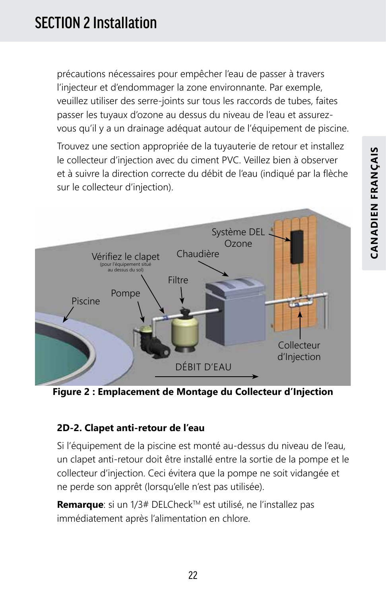précautions nécessaires pour empêcher l'eau de passer à travers l'injecteur et d'endommager la zone environnante. Par exemple, veuillez utiliser des serre-joints sur tous les raccords de tubes, faites passer les tuyaux d'ozone au dessus du niveau de l'eau et assurezvous qu'il y a un drainage adéquat autour de l'équipement de piscine.

Trouvez une section appropriée de la tuyauterie de retour et installez le collecteur d'injection avec du ciment PVC. Veillez bien à observer et à suivre la direction correcte du débit de l'eau (indiqué par la flèche sur le collecteur d'injection).



**Figure 2 : Emplacement de Montage du Collecteur d'Injection**

#### **2D-2. Clapet anti-retour de l'eau**

Si l'équipement de la piscine est monté au-dessus du niveau de l'eau, un clapet anti-retour doit être installé entre la sortie de la pompe et le collecteur d'injection. Ceci évitera que la pompe ne soit vidangée et ne perde son apprêt (lorsqu'elle n'est pas utilisée).

Remarque: si un 1/3# DELCheck™ est utilisé, ne l'installez pas immédiatement après l'alimentation en chlore.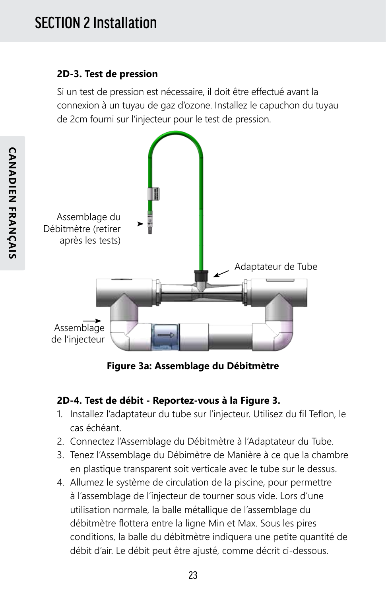#### **2D-3. Test de pression**

Si un test de pression est nécessaire, il doit être effectué avant la connexion à un tuyau de gaz d'ozone. Installez le capuchon du tuyau de 2cm fourni sur l'injecteur pour le test de pression.



**Figure 3a: Assemblage du Débitmètre**

#### **2D-4. Test de débit - Reportez-vous à la Figure 3.**

- 1. Installez l'adaptateur du tube sur l'injecteur. Utilisez du fil Teflon, le cas échéant.
- 2. Connectez l'Assemblage du Débitmètre à l'Adaptateur du Tube.
- 3. Tenez l'Assemblage du Débimètre de Manière à ce que la chambre en plastique transparent soit verticale avec le tube sur le dessus.
- 4. Allumez le système de circulation de la piscine, pour permettre à l'assemblage de l'injecteur de tourner sous vide. Lors d'une utilisation normale, la balle métallique de l'assemblage du débitmètre flottera entre la ligne Min et Max. Sous les pires conditions, la balle du débitmètre indiquera une petite quantité de débit d'air. Le débit peut être ajusté, comme décrit ci-dessous.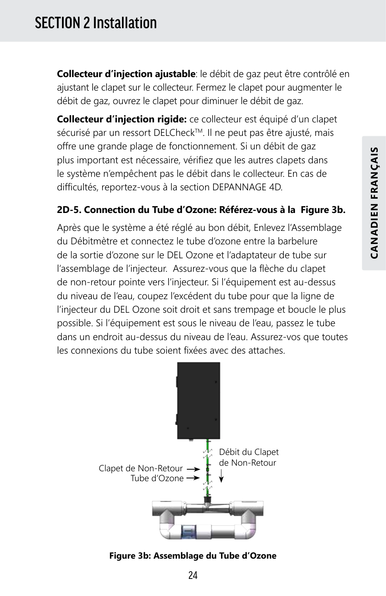## SECTION 2 Installation

**Collecteur d'injection ajustable**: le débit de gaz peut être contrôlé en ajustant le clapet sur le collecteur. Fermez le clapet pour augmenter le débit de gaz, ouvrez le clapet pour diminuer le débit de gaz.

**Collecteur d'injection rigide:** ce collecteur est équipé d'un clapet sécurisé par un ressort DELCheck™. Il ne peut pas être ajusté, mais offre une grande plage de fonctionnement. Si un débit de gaz plus important est nécessaire, vérifiez que les autres clapets dans le système n'empêchent pas le débit dans le collecteur. En cas de difficultés, reportez-vous à la section DEPANNAGE 4D.

#### **2D-5. Connection du Tube d'Ozone: Référez-vous à la Figure 3b.**

Après que le système a été réglé au bon débit, Enlevez l'Assemblage du Débitmètre et connectez le tube d'ozone entre la barbelure de la sortie d'ozone sur le DEL Ozone et l'adaptateur de tube sur l'assemblage de l'injecteur. Assurez-vous que la flèche du clapet de non-retour pointe vers l'injecteur. Si l'équipement est au-dessus du niveau de l'eau, coupez l'excédent du tube pour que la ligne de l'injecteur du DEL Ozone soit droit et sans trempage et boucle le plus possible. Si l'équipement est sous le niveau de l'eau, passez le tube dans un endroit au-dessus du niveau de l'eau. Assurez-vos que toutes les connexions du tube soient fixées avec des attaches.



**Figure 3b: Assemblage du Tube d'Ozone**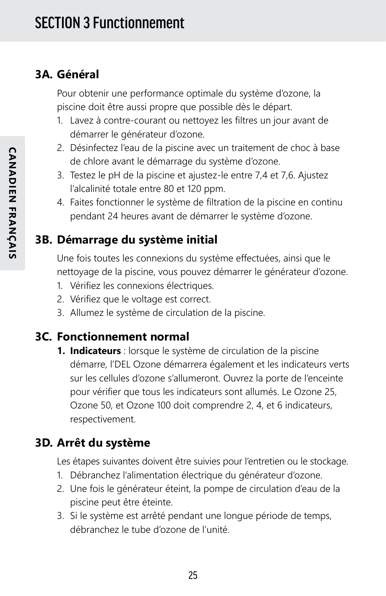### **3A. Général**

Pour obtenir une performance optimale du système d'ozone, la piscine doit être aussi propre que possible dès le départ.

- 1. Lavez à contre-courant ou nettoyez les filtres un jour avant de démarrer le générateur d'ozone.
- 2. Désinfectez l'eau de la piscine avec un traitement de choc à base de chlore avant le démarrage du système d'ozone.
- 3. Testez le pH de la piscine et ajustez-le entre 7,4 et 7,6. Ajustez l'alcalinité totale entre 80 et 120 ppm.
- 4. Faites fonctionner le système de filtration de la piscine en continu pendant 24 heures avant de démarrer le système d'ozone.

### **3B. Démarrage du système initial**

Une fois toutes les connexions du système effectuées, ainsi que le nettoyage de la piscine, vous pouvez démarrer le générateur d'ozone.

- 1. Vérifiez les connexions électriques.
- 2. Vérifiez que le voltage est correct.
- 3. Allumez le système de circulation de la piscine.

#### **3C. Fonctionnement normal**

**1. Indicateurs** : lorsque le système de circulation de la piscine démarre, l'DEL Ozone démarrera également et les indicateurs verts sur les cellules d'ozone s'allumeront. Ouvrez la porte de l'enceinte pour vérifier que tous les indicateurs sont allumés. Le Ozone 25, Ozone 50, et Ozone 100 doit comprendre 2, 4, et 6 indicateurs, respectivement.

### **3D. Arrêt du système**

Les étapes suivantes doivent être suivies pour l'entretien ou le stockage.

- 1. Débranchez l'alimentation électrique du générateur d'ozone.
- 2. Une fois le générateur éteint, la pompe de circulation d'eau de la piscine peut être éteinte.
- 3. Si le système est arrêté pendant une longue période de temps, débranchez le tube d'ozone de l'unité.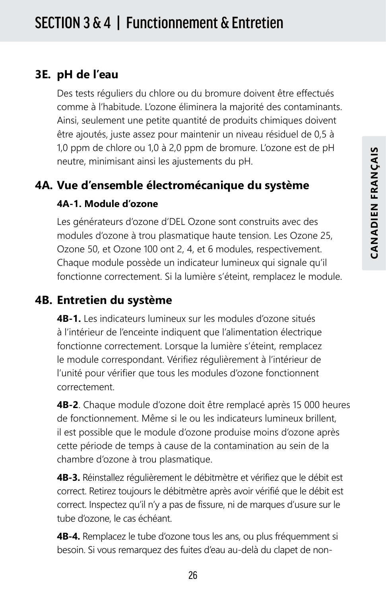#### **3E. pH de l'eau**

Des tests réguliers du chlore ou du bromure doivent être effectués comme à l'habitude. L'ozone éliminera la majorité des contaminants. Ainsi, seulement une petite quantité de produits chimiques doivent être ajoutés, juste assez pour maintenir un niveau résiduel de 0,5 à 1,0 ppm de chlore ou 1,0 à 2,0 ppm de bromure. L'ozone est de pH neutre, minimisant ainsi les ajustements du pH.

### **4A. Vue d'ensemble électromécanique du système**

#### **4A-1. Module d'ozone**

Les générateurs d'ozone d'DEL Ozone sont construits avec des modules d'ozone à trou plasmatique haute tension. Les Ozone 25, Ozone 50, et Ozone 100 ont 2, 4, et 6 modules, respectivement. Chaque module possède un indicateur lumineux qui signale qu'il fonctionne correctement. Si la lumière s'éteint, remplacez le module.

### **4B. Entretien du système**

**4B-1.** Les indicateurs lumineux sur les modules d'ozone situés à l'intérieur de l'enceinte indiquent que l'alimentation électrique fonctionne correctement. Lorsque la lumière s'éteint, remplacez le module correspondant. Vérifiez régulièrement à l'intérieur de l'unité pour vérifier que tous les modules d'ozone fonctionnent correctement.

**4B-2**. Chaque module d'ozone doit être remplacé après 15 000 heures de fonctionnement. Même si le ou les indicateurs lumineux brillent, il est possible que le module d'ozone produise moins d'ozone après cette période de temps à cause de la contamination au sein de la chambre d'ozone à trou plasmatique.

**4B-3.** Réinstallez régulièrement le débitmètre et vérifiez que le débit est correct. Retirez toujours le débitmètre après avoir vérifié que le débit est correct. Inspectez qu'il n'y a pas de fissure, ni de marques d'usure sur le tube d'ozone, le cas échéant.

**4B-4.** Remplacez le tube d'ozone tous les ans, ou plus fréquemment si besoin. Si vous remarquez des fuites d'eau au-delà du clapet de non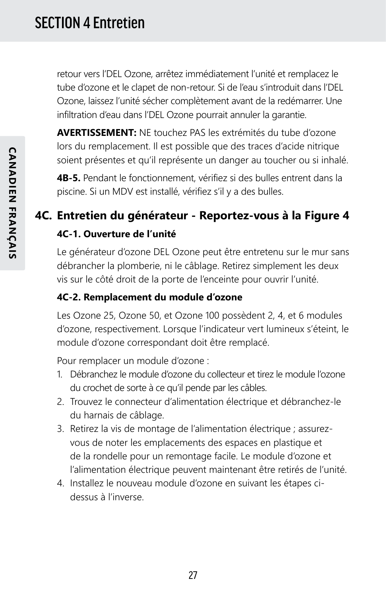retour vers l'DEL Ozone, arrêtez immédiatement l'unité et remplacez le tube d'ozone et le clapet de non-retour. Si de l'eau s'introduit dans l'DEL Ozone, laissez l'unité sécher complètement avant de la redémarrer. Une infiltration d'eau dans l'DEL Ozone pourrait annuler la garantie.

**AVERTISSEMENT:** NE touchez PAS les extrémités du tube d'ozone lors du remplacement. Il est possible que des traces d'acide nitrique soient présentes et qu'il représente un danger au toucher ou si inhalé.

**4B-5.** Pendant le fonctionnement, vérifiez si des bulles entrent dans la piscine. Si un MDV est installé, vérifiez s'il y a des bulles.

## **4C. Entretien du générateur - Reportez-vous à la Figure 4**

#### **4C-1. Ouverture de l'unité**

Le générateur d'ozone DEL Ozone peut être entretenu sur le mur sans débrancher la plomberie, ni le câblage. Retirez simplement les deux vis sur le côté droit de la porte de l'enceinte pour ouvrir l'unité.

#### **4C-2. Remplacement du module d'ozone**

Les Ozone 25, Ozone 50, et Ozone 100 possèdent 2, 4, et 6 modules d'ozone, respectivement. Lorsque l'indicateur vert lumineux s'éteint, le module d'ozone correspondant doit être remplacé.

Pour remplacer un module d'ozone :

- 1. Débranchez le module d'ozone du collecteur et tirez le module l'ozone du crochet de sorte à ce qu'il pende par les câbles.
- 2. Trouvez le connecteur d'alimentation électrique et débranchez-le du harnais de câblage.
- 3. Retirez la vis de montage de l'alimentation électrique ; assurezvous de noter les emplacements des espaces en plastique et de la rondelle pour un remontage facile. Le module d'ozone et l'alimentation électrique peuvent maintenant être retirés de l'unité.
- 4. Installez le nouveau module d'ozone en suivant les étapes cidessus à l'inverse.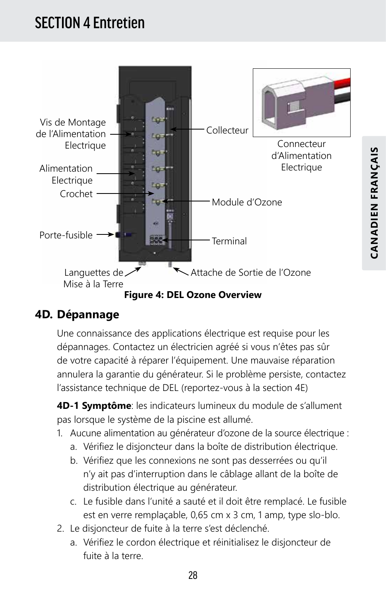## SECTION 4 Entretien



### **4D. Dépannage**

Une connaissance des applications électrique est requise pour les dépannages. Contactez un électricien agréé si vous n'êtes pas sûr de votre capacité à réparer l'équipement. Une mauvaise réparation annulera la garantie du générateur. Si le problème persiste, contactez l'assistance technique de DEL (reportez-vous à la section 4E)

**4D-1 Symptôme**: les indicateurs lumineux du module de s'allument pas lorsque le système de la piscine est allumé.

- 1. Aucune alimentation au générateur d'ozone de la source électrique :
	- a. Vérifiez le disjoncteur dans la boîte de distribution électrique.
	- b. Vérifiez que les connexions ne sont pas desserrées ou qu'il n'y ait pas d'interruption dans le câblage allant de la boîte de distribution électrique au générateur.
	- c. Le fusible dans l'unité a sauté et il doit être remplacé. Le fusible est en verre remplaçable, 0,65 cm x 3 cm, 1 amp, type slo-blo.
- 2. Le disjoncteur de fuite à la terre s'est déclenché.
	- a. Vérifiez le cordon électrique et réinitialisez le disjoncteur de fuite à la terre.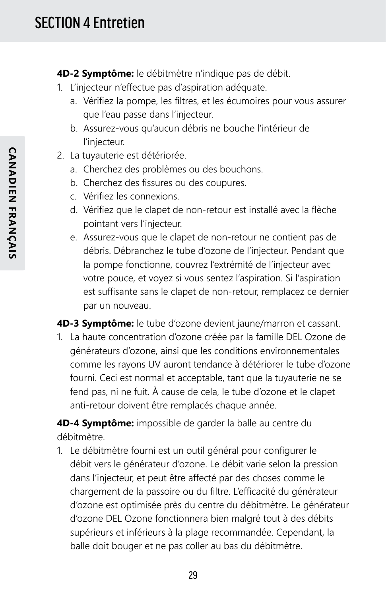**4D-2 Symptôme:** le débitmètre n'indique pas de débit.

- 1. L'injecteur n'effectue pas d'aspiration adéquate.
	- a. Vérifiez la pompe, les filtres, et les écumoires pour vous assurer que l'eau passe dans l'injecteur.
	- b. Assurez-vous qu'aucun débris ne bouche l'intérieur de l'injecteur.
- 2. La tuyauterie est détériorée.
	- a. Cherchez des problèmes ou des bouchons.
	- b. Cherchez des fissures ou des coupures.
	- c. Vérifiez les connexions.
	- d. Vérifiez que le clapet de non-retour est installé avec la flèche pointant vers l'injecteur.
	- e. Assurez-vous que le clapet de non-retour ne contient pas de débris. Débranchez le tube d'ozone de l'injecteur. Pendant que la pompe fonctionne, couvrez l'extrémité de l'injecteur avec votre pouce, et voyez si vous sentez l'aspiration. Si l'aspiration est suffisante sans le clapet de non-retour, remplacez ce dernier par un nouveau.

**4D-3 Symptôme:** le tube d'ozone devient jaune/marron et cassant.

1. La haute concentration d'ozone créée par la famille DEL Ozone de générateurs d'ozone, ainsi que les conditions environnementales comme les rayons UV auront tendance à détériorer le tube d'ozone fourni. Ceci est normal et acceptable, tant que la tuyauterie ne se fend pas, ni ne fuit. À cause de cela, le tube d'ozone et le clapet anti-retour doivent être remplacés chaque année.

**4D-4 Symptôme:** impossible de garder la balle au centre du débitmètre.

1. Le débitmètre fourni est un outil général pour configurer le débit vers le générateur d'ozone. Le débit varie selon la pression dans l'injecteur, et peut être affecté par des choses comme le chargement de la passoire ou du filtre. L'efficacité du générateur d'ozone est optimisée près du centre du débitmètre. Le générateur d'ozone DEL Ozone fonctionnera bien malgré tout à des débits supérieurs et inférieurs à la plage recommandée. Cependant, la balle doit bouger et ne pas coller au bas du débitmètre.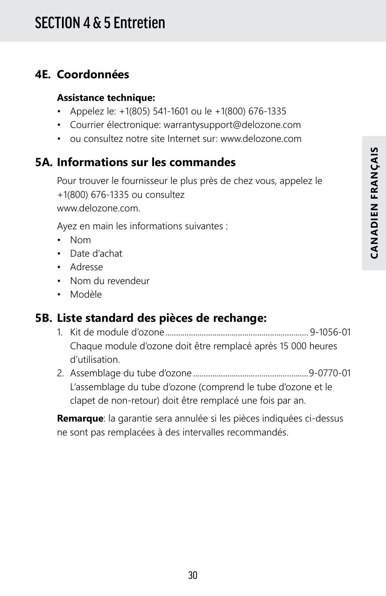### **4E. Coordonnées**

#### **Assistance technique:**

- Appelez le: +1(805) 541-1601 ou le +1(800) 676-1335
- Courrier électronique: warrantysupport@delozone.com
- ou consultez notre site Internet sur: www.delozone.com

## **5A. Informations sur les commandes**

Pour trouver le fournisseur le plus près de chez vous, appelez le +1(800) 676-1335 ou consultez www.delozone.com.

Ayez en main les informations suivantes :

- Nom
- Date d'achat
- Adresse
- Nom du revendeur
- Modèle

## **5B. Liste standard des pièces de rechange:**

- 1. Kit de module d'ozone................................................................... 9-1056-01 Chaque module d'ozone doit être remplacé après 15 000 heures d'utilisation.
- 2. Assemblage du tube d'ozone ......................................................9-0770-01 L'assemblage du tube d'ozone (comprend le tube d'ozone et le clapet de non-retour) doit être remplacé une fois par an.

**Remarque**: la garantie sera annulée si les pièces indiquées ci-dessus ne sont pas remplacées à des intervalles recommandés.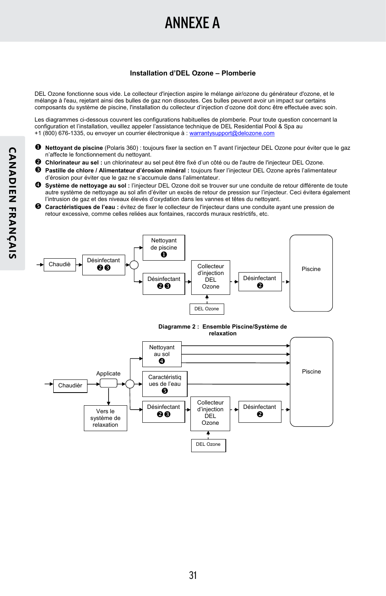## ANNEXE A

#### **Installation d'DEL Ozone – Plomberie**

DEL Ozone fonctionne sous vide. Le collecteur d'injection aspire le mélange air/ozone du générateur d'ozone, et le mélange à l'eau, rejetant ainsi des bulles de gaz non dissoutes. Ces bulles peuvent avoir un impact sur certains composants du système de piscine, l'installation du collecteur d'injection d'ozone doit donc être effectuée avec soin.

Les diagrammes ci-dessous couvrent les configurations habituelles de plomberie. Pour toute question concernant la configuration et l'installation, veuillez appeler l'assistance technique de DEL Residential Pool & Spa au +1 (800) 676-1335, ou envoyer un courrier électronique à : warrantysupport@delozone.com

- **Nettoyant de piscine** (Polaris 360) : toujours fixer la section en T avant l'injecteur DEL Ozone pour éviter que le gaz n'affecte le fonctionnement du nettoyant.
- **Chlorinateur au sel :** un chlorinateur au sel peut être fixé d'un côté ou de l'autre de l'injecteur DEL Ozone.
- **Pastille de chlore / Alimentateur d'érosion minéral :** toujours fixer l'injecteur DEL Ozone après l'alimentateur d'érosion pour éviter que le gaz ne s'accumule dans l'alimentateur.
- **Système de nettoyage au sol :** l'injecteur DEL Ozone doit se trouver sur une conduite de retour différente de toute autre système de nettoyage au sol afin d'éviter un excès de retour de pression sur l'injecteur. Ceci évitera également l'intrusion de gaz et des niveaux élevés d'oxydation dans les vannes et têtes du nettoyant.
- **Caractéristiques de l'eau :** évitez de fixer le collecteur de l'injecteur dans une conduite ayant une pression de retour excessive, comme celles reliées aux fontaines, raccords muraux restrictifs, etc.



**Diagramme 2 : Ensemble Piscine/Système de relaxation** 

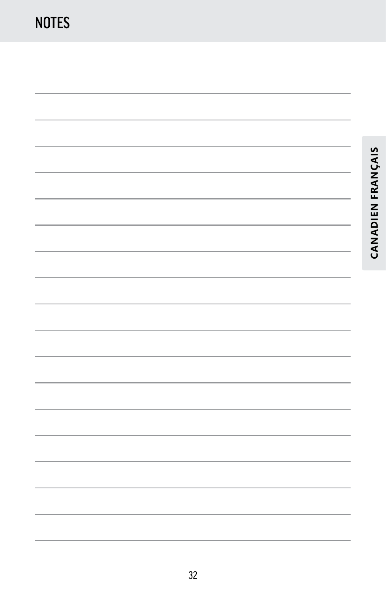**CANADIEN FRANÇAIS**

CANADIEN FRANÇAIS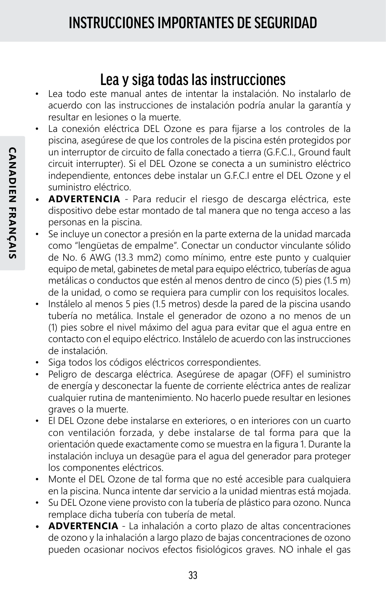## Lea y siga todas las instrucciones

- Lea todo este manual antes de intentar la instalación. No instalarlo de acuerdo con las instrucciones de instalación podría anular la garantía y resultar en lesiones o la muerte.
- La conexión eléctrica DEL Ozone es para fijarse a los controles de la piscina, asegúrese de que los controles de la piscina estén protegidos por un interruptor de circuito de falla conectado a tierra (G.F.C.I., Ground fault circuit interrupter). Si el DEL Ozone se conecta a un suministro eléctrico independiente, entonces debe instalar un G.F.C.I entre el DEL Ozone y el suministro eléctrico.
- **• ADVERTENCIA** Para reducir el riesgo de descarga eléctrica, este dispositivo debe estar montado de tal manera que no tenga acceso a las personas en la piscina.
- Se incluye un conector a presión en la parte externa de la unidad marcada como "lengüetas de empalme". Conectar un conductor vinculante sólido de No. 6 AWG (13.3 mm2) como mínimo, entre este punto y cualquier equipo de metal, gabinetes de metal para equipo eléctrico, tuberías de agua metálicas o conductos que estén al menos dentro de cinco (5) pies (1.5 m) de la unidad, o como se requiera para cumplir con los requisitos locales.
- Instálelo al menos 5 pies (1.5 metros) desde la pared de la piscina usando tubería no metálica. Instale el generador de ozono a no menos de un (1) pies sobre el nivel máximo del agua para evitar que el agua entre en contacto con el equipo eléctrico. Instálelo de acuerdo con las instrucciones de instalación.
- Siga todos los códigos eléctricos correspondientes.
- Peligro de descarga eléctrica. Asegúrese de apagar (OFF) el suministro de energía y desconectar la fuente de corriente eléctrica antes de realizar cualquier rutina de mantenimiento. No hacerlo puede resultar en lesiones graves o la muerte.
- El DEL Ozone debe instalarse en exteriores, o en interiores con un cuarto con ventilación forzada, y debe instalarse de tal forma para que la orientación quede exactamente como se muestra en la figura 1. Durante la instalación incluya un desagüe para el agua del generador para proteger los componentes eléctricos.
- Monte el DEL Ozone de tal forma que no esté accesible para cualquiera en la piscina. Nunca intente dar servicio a la unidad mientras está mojada.
- Su DEL Ozone viene provisto con la tubería de plástico para ozono. Nunca remplace dicha tubería con tubería de metal.
- **• ADVERTENCIA** La inhalación a corto plazo de altas concentraciones de ozono y la inhalación a largo plazo de bajas concentraciones de ozono pueden ocasionar nocivos efectos fisiológicos graves. NO inhale el gas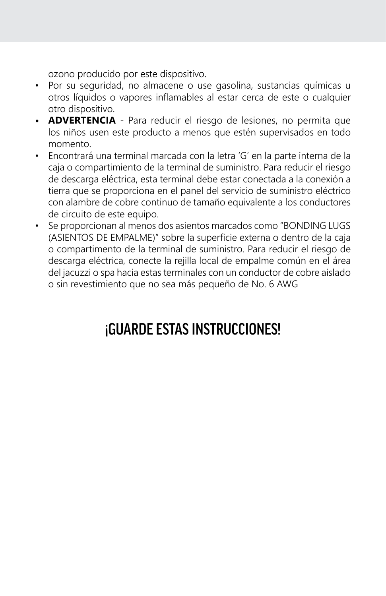ozono producido por este dispositivo.

- Por su seguridad, no almacene o use gasolina, sustancias químicas u otros líquidos o vapores inflamables al estar cerca de este o cualquier otro dispositivo.
- **• ADVERTENCIA** Para reducir el riesgo de lesiones, no permita que los niños usen este producto a menos que estén supervisados en todo momento.
- Encontrará una terminal marcada con la letra 'G' en la parte interna de la caja o compartimiento de la terminal de suministro. Para reducir el riesgo de descarga eléctrica, esta terminal debe estar conectada a la conexión a tierra que se proporciona en el panel del servicio de suministro eléctrico con alambre de cobre continuo de tamaño equivalente a los conductores de circuito de este equipo.
- Se proporcionan al menos dos asientos marcados como "BONDING LUGS (ASIENTOS DE EMPALME)" sobre la superficie externa o dentro de la caja o compartimento de la terminal de suministro. Para reducir el riesgo de descarga eléctrica, conecte la rejilla local de empalme común en el área del jacuzzi o spa hacia estas terminales con un conductor de cobre aislado o sin revestimiento que no sea más pequeño de No. 6 AWG

## ¡GUARDE ESTAS INSTRUCCIONES!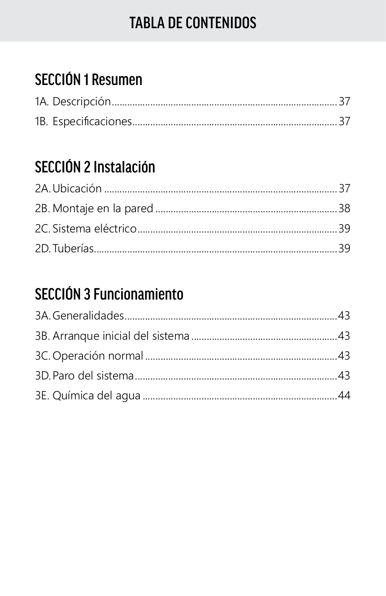## **TABLA DE CONTENIDOS**

## **SECCIÓN 1 Resumen**

## **SECCIÓN 2 Instalación**

## **SECCIÓN 3 Funcionamiento**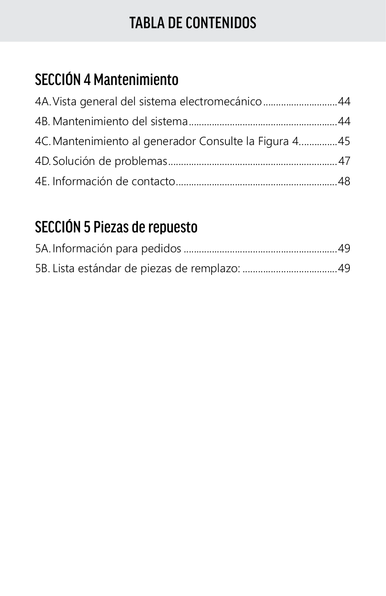## TABLA DE CONTENIDOS

## SECCIÓN 4 Mantenimiento

| 4A. Vista general del sistema electromecánico44       |  |
|-------------------------------------------------------|--|
|                                                       |  |
| 4C. Mantenimiento al generador Consulte la Figura 445 |  |
|                                                       |  |
|                                                       |  |

## SECCIÓN 5 Piezas de repuesto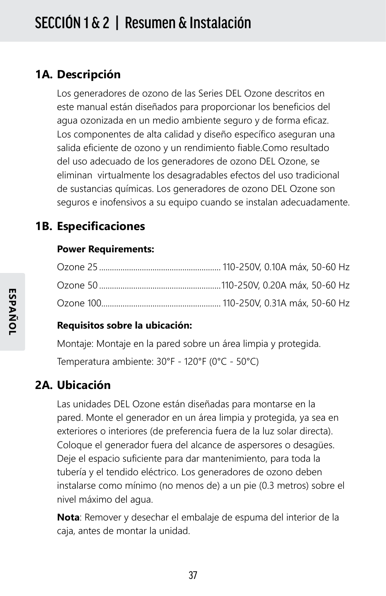### **1A. Descripción**

Los generadores de ozono de las Series DEL Ozone descritos en este manual están diseñados para proporcionar los beneficios del agua ozonizada en un medio ambiente seguro y de forma eficaz. Los componentes de alta calidad y diseño específico aseguran una salida eficiente de ozono y un rendimiento fiable.Como resultado del uso adecuado de los generadores de ozono DEL Ozone, se eliminan virtualmente los desagradables efectos del uso tradicional de sustancias químicas. Los generadores de ozono DEL Ozone son seguros e inofensivos a su equipo cuando se instalan adecuadamente.

### **1B. Especificaciones**

#### **Power Requirements:**

#### **Requisitos sobre la ubicación:**

Montaje: Montaje en la pared sobre un área limpia y protegida.

Temperatura ambiente: 30°F - 120°F (0°C - 50°C)

### **2A. Ubicación**

Las unidades DEL Ozone están diseñadas para montarse en la pared. Monte el generador en un área limpia y protegida, ya sea en exteriores o interiores (de preferencia fuera de la luz solar directa). Coloque el generador fuera del alcance de aspersores o desagües. Deje el espacio suficiente para dar mantenimiento, para toda la tubería y el tendido eléctrico. Los generadores de ozono deben instalarse como mínimo (no menos de) a un pie (0.3 metros) sobre el nivel máximo del agua.

**Nota**: Remover y desechar el embalaje de espuma del interior de la caja, antes de montar la unidad.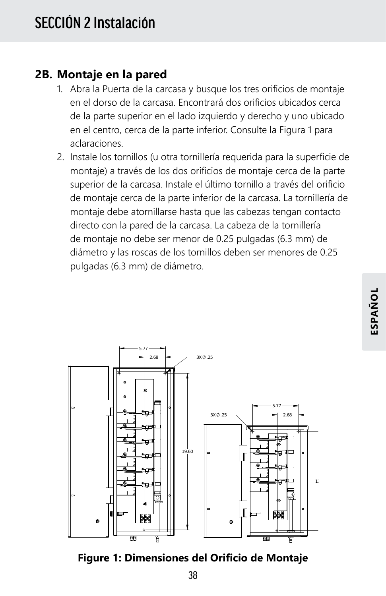### **2B. Montaje en la pared**

- 1. Abra la Puerta de la carcasa y busque los tres orificios de montaje en el dorso de la carcasa. Encontrará dos orificios ubicados cerca de la parte superior en el lado izquierdo y derecho y uno ubicado en el centro, cerca de la parte inferior. Consulte la Figura 1 para aclaraciones.
- 2. Instale los tornillos (u otra tornillería requerida para la superficie de montaje) a través de los dos orificios de montaje cerca de la parte superior de la carcasa. Instale el último tornillo a través del orificio de montaje cerca de la parte inferior de la carcasa. La tornillería de montaje debe atornillarse hasta que las cabezas tengan contacto directo con la pared de la carcasa. La cabeza de la tornillería de montaje no debe ser menor de 0.25 pulgadas (6.3 mm) de diámetro y las roscas de los tornillos deben ser menores de 0.25 pulgadas (6.3 mm) de diámetro.



**Figure 1: Dimensiones del Orificio de Montaje**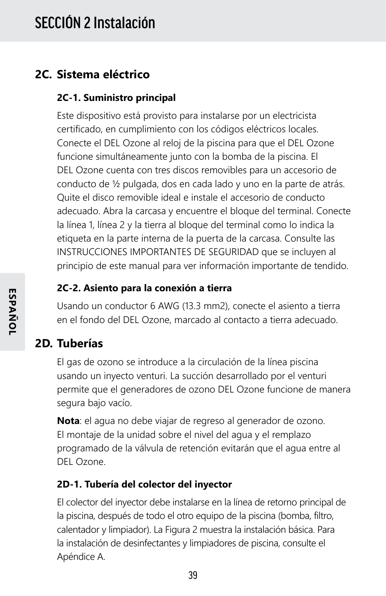### **2C. Sistema eléctrico**

#### **2C-1. Suministro principal**

Este dispositivo está provisto para instalarse por un electricista certificado, en cumplimiento con los códigos eléctricos locales. Conecte el DEL Ozone al reloj de la piscina para que el DEL Ozone funcione simultáneamente junto con la bomba de la piscina. El DEL Ozone cuenta con tres discos removibles para un accesorio de conducto de ½ pulgada, dos en cada lado y uno en la parte de atrás. Quite el disco removible ideal e instale el accesorio de conducto adecuado. Abra la carcasa y encuentre el bloque del terminal. Conecte la línea 1, línea 2 y la tierra al bloque del terminal como lo indica la etiqueta en la parte interna de la puerta de la carcasa. Consulte las INSTRUCCIONES IMPORTANTES DE SEGURIDAD que se incluyen al principio de este manual para ver información importante de tendido.

#### **2C-2. Asiento para la conexión a tierra**

Usando un conductor 6 AWG (13.3 mm2), conecte el asiento a tierra en el fondo del DEL Ozone, marcado al contacto a tierra adecuado.

#### **2D. Tuberías**

El gas de ozono se introduce a la circulación de la línea piscina usando un inyecto venturi. La succión desarrollado por el venturi permite que el generadores de ozono DEL Ozone funcione de manera segura bajo vacío.

**Nota**: el agua no debe viajar de regreso al generador de ozono. El montaje de la unidad sobre el nivel del agua y el remplazo programado de la válvula de retención evitarán que el agua entre al DEL Ozone.

#### **2D-1. Tubería del colector del inyector**

El colector del inyector debe instalarse en la línea de retorno principal de la piscina, después de todo el otro equipo de la piscina (bomba, filtro, calentador y limpiador). La Figura 2 muestra la instalación básica. Para la instalación de desinfectantes y limpiadores de piscina, consulte el Apéndice A.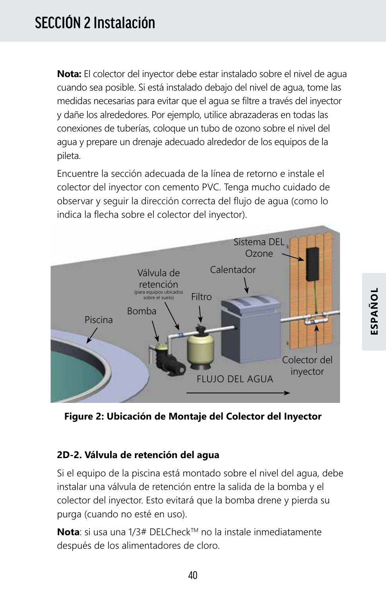## SECCIÓN 2 Instalación

**Nota:** El colector del inyector debe estar instalado sobre el nivel de agua cuando sea posible. Si está instalado debajo del nivel de agua, tome las medidas necesarias para evitar que el agua se filtre a través del inyector y dañe los alrededores. Por ejemplo, utilice abrazaderas en todas las conexiones de tuberías, coloque un tubo de ozono sobre el nivel del agua y prepare un drenaje adecuado alrededor de los equipos de la pileta.

Encuentre la sección adecuada de la línea de retorno e instale el colector del inyector con cemento PVC. Tenga mucho cuidado de observar y seguir la dirección correcta del flujo de agua (como lo indica la flecha sobre el colector del inyector).



**Figure 2: Ubicación de Montaje del Colector del Inyector**

#### **2D-2. Válvula de retención del agua**

Si el equipo de la piscina está montado sobre el nivel del agua, debe instalar una válvula de retención entre la salida de la bomba y el colector del inyector. Esto evitará que la bomba drene y pierda su purga (cuando no esté en uso).

**Nota**: si usa una 1/3# DELCheck™ no la instale inmediatamente después de los alimentadores de cloro.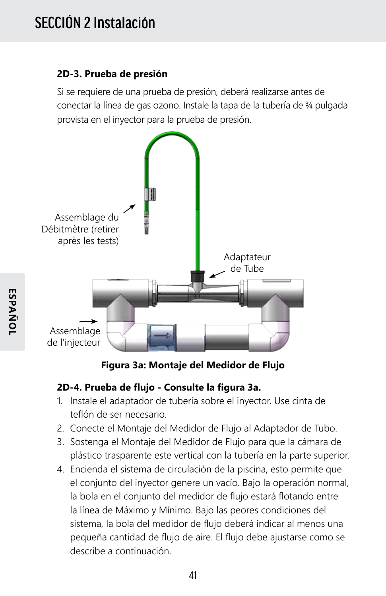#### **2D-3. Prueba de presión**

Si se requiere de una prueba de presión, deberá realizarse antes de conectar la línea de gas ozono. Instale la tapa de la tubería de 34 pulgada provista en el inyector para la prueba de presión.



**Figura 3a: Montaje del Medidor de Flujo**

#### **2D-4. Prueba de flujo - Consulte la figura 3a.**

- 1. Instale el adaptador de tubería sobre el inyector. Use cinta de teflón de ser necesario.
- 2. Conecte el Montaje del Medidor de Flujo al Adaptador de Tubo.
- 3. Sostenga el Montaje del Medidor de Flujo para que la cámara de plástico trasparente este vertical con la tubería en la parte superior.
- 4. Encienda el sistema de circulación de la piscina, esto permite que el conjunto del inyector genere un vacío. Bajo la operación normal, la bola en el conjunto del medidor de flujo estará flotando entre la línea de Máximo y Mínimo. Bajo las peores condiciones del sistema, la bola del medidor de flujo deberá indicar al menos una pequeña cantidad de flujo de aire. El flujo debe ajustarse como se describe a continuación.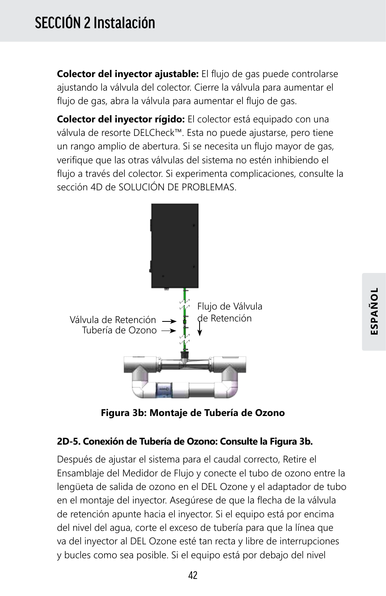**Colector del inyector ajustable:** El flujo de gas puede controlarse ajustando la válvula del colector. Cierre la válvula para aumentar el flujo de gas, abra la válvula para aumentar el flujo de gas.

**Colector del inyector rígido:** El colector está equipado con una válvula de resorte DELCheck™. Esta no puede ajustarse, pero tiene un rango amplio de abertura. Si se necesita un flujo mayor de gas, verifique que las otras válvulas del sistema no estén inhibiendo el flujo a través del colector. Si experimenta complicaciones, consulte la sección 4D de SOLUCIÓN DE PROBLEMAS.



**Figura 3b: Montaje de Tubería de Ozono**

#### **2D-5. Conexión de Tubería de Ozono: Consulte la Figura 3b.**

Después de ajustar el sistema para el caudal correcto, Retire el Ensamblaje del Medidor de Flujo y conecte el tubo de ozono entre la lengüeta de salida de ozono en el DEL Ozone y el adaptador de tubo en el montaje del inyector. Asegúrese de que la flecha de la válvula de retención apunte hacia el inyector. Si el equipo está por encima del nivel del agua, corte el exceso de tubería para que la línea que va del inyector al DEL Ozone esté tan recta y libre de interrupciones y bucles como sea posible. Si el equipo está por debajo del nivel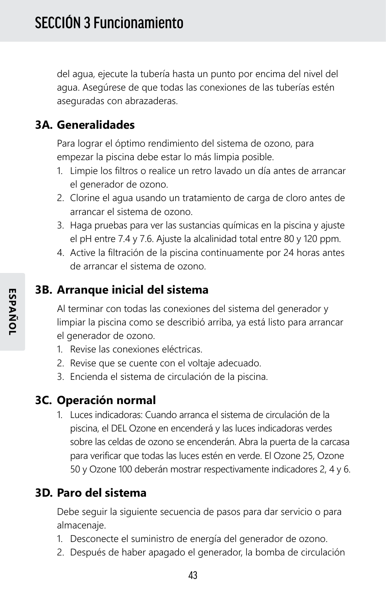del agua, ejecute la tubería hasta un punto por encima del nivel del agua. Asegúrese de que todas las conexiones de las tuberías estén aseguradas con abrazaderas.

### **3A. Generalidades**

Para lograr el óptimo rendimiento del sistema de ozono, para empezar la piscina debe estar lo más limpia posible.

- 1. Limpie los filtros o realice un retro lavado un día antes de arrancar el generador de ozono.
- 2. Clorine el agua usando un tratamiento de carga de cloro antes de arrancar el sistema de ozono.
- 3. Haga pruebas para ver las sustancias químicas en la piscina y ajuste el pH entre 7.4 y 7.6. Ajuste la alcalinidad total entre 80 y 120 ppm.
- 4. Active la filtración de la piscina continuamente por 24 horas antes de arrancar el sistema de ozono.

#### **3B. Arranque inicial del sistema**

Al terminar con todas las conexiones del sistema del generador y limpiar la piscina como se describió arriba, ya está listo para arrancar el generador de ozono.

- 1. Revise las conexiones eléctricas.
- 2. Revise que se cuente con el voltaje adecuado.
- 3. Encienda el sistema de circulación de la piscina.

#### **3C. Operación normal**

1. Luces indicadoras: Cuando arranca el sistema de circulación de la piscina, el DEL Ozone en encenderá y las luces indicadoras verdes sobre las celdas de ozono se encenderán. Abra la puerta de la carcasa para verificar que todas las luces estén en verde. El Ozone 25, Ozone 50 y Ozone 100 deberán mostrar respectivamente indicadores 2, 4 y 6.

### **3D. Paro del sistema**

Debe seguir la siguiente secuencia de pasos para dar servicio o para almacenaje.

- 1. Desconecte el suministro de energía del generador de ozono.
- 2. Después de haber apagado el generador, la bomba de circulación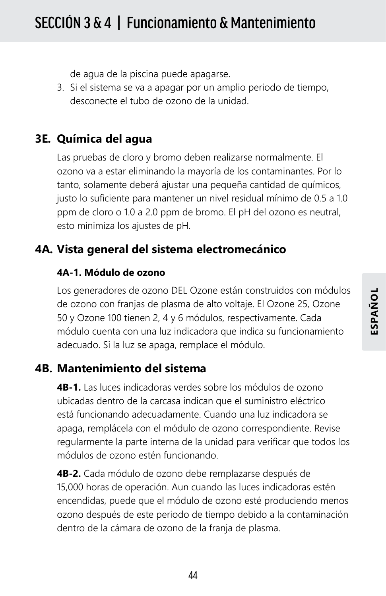de agua de la piscina puede apagarse.

3. Si el sistema se va a apagar por un amplio periodo de tiempo, desconecte el tubo de ozono de la unidad.

### **3E. Química del agua**

Las pruebas de cloro y bromo deben realizarse normalmente. El ozono va a estar eliminando la mayoría de los contaminantes. Por lo tanto, solamente deberá ajustar una pequeña cantidad de químicos, justo lo suficiente para mantener un nivel residual mínimo de 0.5 a 1.0 ppm de cloro o 1.0 a 2.0 ppm de bromo. El pH del ozono es neutral, esto minimiza los ajustes de pH.

### **4A. Vista general del sistema electromecánico**

#### **4A-1. Módulo de ozono**

Los generadores de ozono DEL Ozone están construidos con módulos de ozono con franjas de plasma de alto voltaje. El Ozone 25, Ozone 50 y Ozone 100 tienen 2, 4 y 6 módulos, respectivamente. Cada módulo cuenta con una luz indicadora que indica su funcionamiento adecuado. Si la luz se apaga, remplace el módulo.

#### **4B. Mantenimiento del sistema**

**4B-1.** Las luces indicadoras verdes sobre los módulos de ozono ubicadas dentro de la carcasa indican que el suministro eléctrico está funcionando adecuadamente. Cuando una luz indicadora se apaga, remplácela con el módulo de ozono correspondiente. Revise regularmente la parte interna de la unidad para verificar que todos los módulos de ozono estén funcionando.

**4B-2.** Cada módulo de ozono debe remplazarse después de 15,000 horas de operación. Aun cuando las luces indicadoras estén encendidas, puede que el módulo de ozono esté produciendo menos ozono después de este periodo de tiempo debido a la contaminación dentro de la cámara de ozono de la franja de plasma.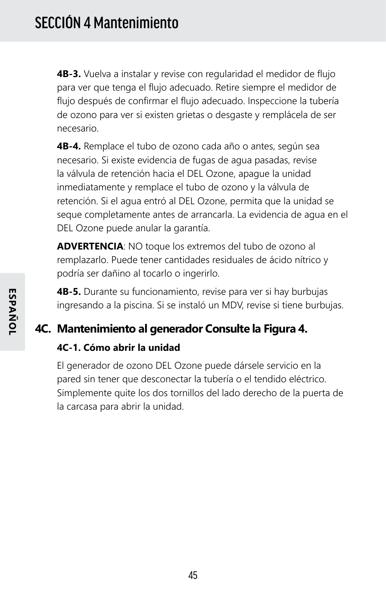**4B-3.** Vuelva a instalar y revise con regularidad el medidor de flujo para ver que tenga el flujo adecuado. Retire siempre el medidor de flujo después de confirmar el flujo adecuado. Inspeccione la tubería de ozono para ver si existen grietas o desgaste y remplácela de ser necesario.

**4B-4.** Remplace el tubo de ozono cada año o antes, según sea necesario. Si existe evidencia de fugas de agua pasadas, revise la válvula de retención hacia el DEL Ozone, apague la unidad inmediatamente y remplace el tubo de ozono y la válvula de retención. Si el agua entró al DEL Ozone, permita que la unidad se seque completamente antes de arrancarla. La evidencia de agua en el DEL Ozone puede anular la garantía.

**ADVERTENCIA**: NO toque los extremos del tubo de ozono al remplazarlo. Puede tener cantidades residuales de ácido nítrico y podría ser dañino al tocarlo o ingerirlo.

**4B-5.** Durante su funcionamiento, revise para ver si hay burbujas ingresando a la piscina. Si se instaló un MDV, revise si tiene burbujas.

### **4C. Mantenimiento al generador Consulte la Figura 4.**

#### **4C-1. Cómo abrir la unidad**

El generador de ozono DEL Ozone puede dársele servicio en la pared sin tener que desconectar la tubería o el tendido eléctrico. Simplemente quite los dos tornillos del lado derecho de la puerta de la carcasa para abrir la unidad.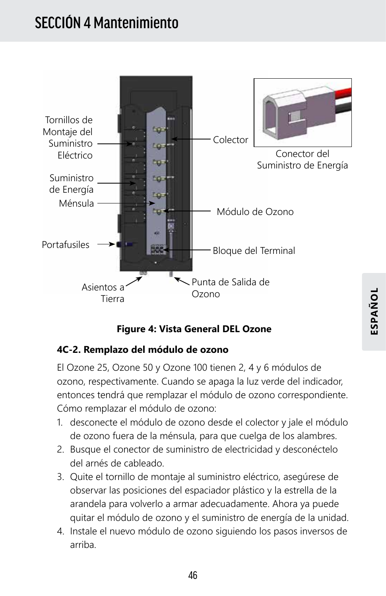## SECCIÓN 4 Mantenimiento



#### **Figure 4: Vista General DEL Ozone**

#### **4C-2. Remplazo del módulo de ozono**

El Ozone 25, Ozone 50 y Ozone 100 tienen 2, 4 y 6 módulos de ozono, respectivamente. Cuando se apaga la luz verde del indicador, entonces tendrá que remplazar el módulo de ozono correspondiente. Cómo remplazar el módulo de ozono:

- 1. desconecte el módulo de ozono desde el colector y jale el módulo de ozono fuera de la ménsula, para que cuelga de los alambres.
- 2. Busque el conector de suministro de electricidad y desconéctelo del arnés de cableado.
- 3. Quite el tornillo de montaje al suministro eléctrico, asegúrese de observar las posiciones del espaciador plástico y la estrella de la arandela para volverlo a armar adecuadamente. Ahora ya puede quitar el módulo de ozono y el suministro de energía de la unidad.
- 4. Instale el nuevo módulo de ozono siguiendo los pasos inversos de arriba.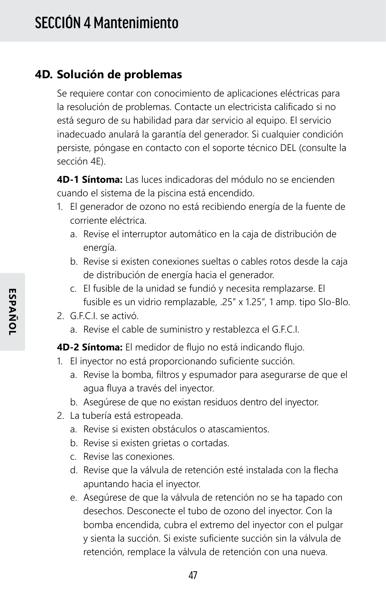### **4D. Solución de problemas**

Se requiere contar con conocimiento de aplicaciones eléctricas para la resolución de problemas. Contacte un electricista calificado si no está seguro de su habilidad para dar servicio al equipo. El servicio inadecuado anulará la garantía del generador. Si cualquier condición persiste, póngase en contacto con el soporte técnico DEL (consulte la sección 4E).

**4D-1 Síntoma:** Las luces indicadoras del módulo no se encienden cuando el sistema de la piscina está encendido.

- 1. El generador de ozono no está recibiendo energía de la fuente de corriente eléctrica.
	- a. Revise el interruptor automático en la caja de distribución de energía.
	- b. Revise si existen conexiones sueltas o cables rotos desde la caja de distribución de energía hacia el generador.
	- c. El fusible de la unidad se fundió y necesita remplazarse. El fusible es un vidrio remplazable, .25" x 1.25", 1 amp. tipo Slo-Blo.
- 2. G.E.C.I. se activó.
	- a. Revise el cable de suministro y restablezca el G.F.C.I.

#### **4D-2 Síntoma:** El medidor de flujo no está indicando flujo.

- 1. El inyector no está proporcionando suficiente succión.
	- a. Revise la bomba, filtros y espumador para asegurarse de que el agua fluya a través del inyector.
	- b. Asegúrese de que no existan residuos dentro del inyector.
- 2. La tubería está estropeada.
	- a. Revise si existen obstáculos o atascamientos.
	- b. Revise si existen grietas o cortadas.
	- c. Revise las conexiones.
	- d. Revise que la válvula de retención esté instalada con la flecha apuntando hacia el inyector.
	- e. Asegúrese de que la válvula de retención no se ha tapado con desechos. Desconecte el tubo de ozono del inyector. Con la bomba encendida, cubra el extremo del inyector con el pulgar y sienta la succión. Si existe suficiente succión sin la válvula de retención, remplace la válvula de retención con una nueva.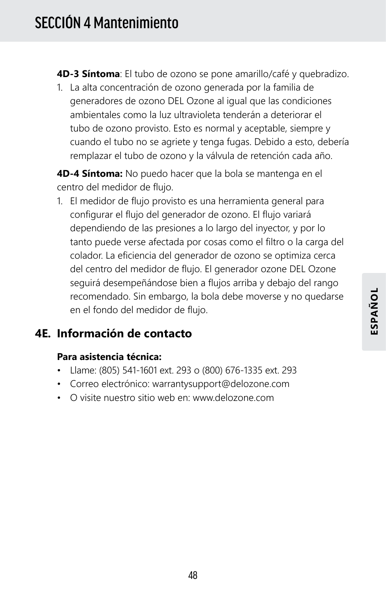**4D-3 Síntoma**: El tubo de ozono se pone amarillo/café y quebradizo.

1. La alta concentración de ozono generada por la familia de generadores de ozono DEL Ozone al igual que las condiciones ambientales como la luz ultravioleta tenderán a deteriorar el tubo de ozono provisto. Esto es normal y aceptable, siempre y cuando el tubo no se agriete y tenga fugas. Debido a esto, debería remplazar el tubo de ozono y la válvula de retención cada año.

**4D-4 Síntoma:** No puedo hacer que la bola se mantenga en el centro del medidor de flujo.

1. El medidor de flujo provisto es una herramienta general para configurar el flujo del generador de ozono. El flujo variará dependiendo de las presiones a lo largo del inyector, y por lo tanto puede verse afectada por cosas como el filtro o la carga del colador. La eficiencia del generador de ozono se optimiza cerca del centro del medidor de flujo. El generador ozone DEL Ozone seguirá desempeñándose bien a flujos arriba y debajo del rango recomendado. Sin embargo, la bola debe moverse y no quedarse en el fondo del medidor de flujo.

## **4E. Información de contacto**

#### **Para asistencia técnica:**

- Llame: (805) 541-1601 ext. 293 o (800) 676-1335 ext. 293
- Correo electrónico: warrantysupport@delozone.com
- O visite nuestro sitio web en: www.delozone.com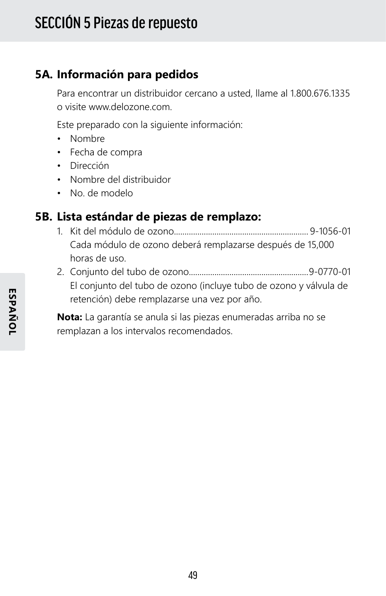## **5A. Información para pedidos**

Para encontrar un distribuidor cercano a usted, llame al 1.800.676.1335 o visite www.delozone.com.

Este preparado con la siguiente información:

- Nombre
- Fecha de compra
- Dirección
- Nombre del distribuidor
- No. de modelo

### **5B. Lista estándar de piezas de remplazo:**

- 1. Kit del módulo de ozono............................................................... 9-1056-01 Cada módulo de ozono deberá remplazarse después de 15,000 horas de uso.
- 2. Conjunto del tubo de ozono........................................................9-0770-01 El conjunto del tubo de ozono (incluye tubo de ozono y válvula de retención) debe remplazarse una vez por año.

**Nota:** La garantía se anula si las piezas enumeradas arriba no se remplazan a los intervalos recomendados.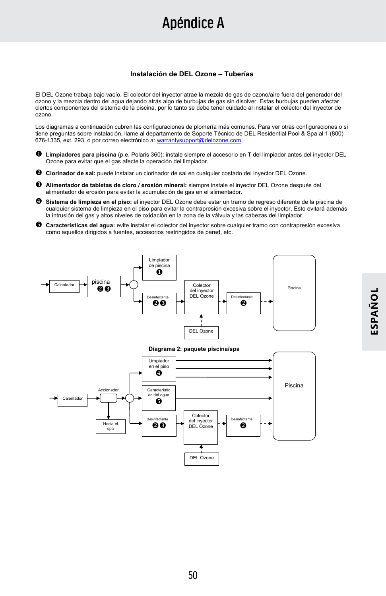## Apéndice A

#### **Instalación de DEL Ozone – Tuberías**

El DEL Ozone trabaja bajo vacío. El colector del inyector atrae la mezcla de gas de ozono/aire fuera del generador del ozono y la mezcla dentro del agua dejando atrás algo de burbujas de gas sin disolver. Estas burbujas pueden afectar ciertos componentes del sistema de la piscina, por lo tanto se debe tener cuidado al instalar el colector del inyector de ozono.

Los diagramas a continuación cubren las configuraciones de plomería más comunes. Para ver otras configuraciones o si tiene preguntas sobre instalación, llame al departamento de Soporte Técnico de DEL Residential Pool & Spa al 1 (800) 676-1335, ext. 293, o por correo electrónico a: warrantysupport@delozone.com

- **Limpiadores para piscina** (p.e. Polaris 360): instale siempre el accesorio en T del limpiador antes del inyector DEL Ozone para evitar que el gas afecte la operación del limpiador.
- **Clorinador de sal:** puede instalar un clorinador de sal en cualquier costado del inyector DEL Ozone.
- **Alimentador de tabletas de cloro / erosión mineral:** siempre instale el inyector DEL Ozone después del alimentador de erosión para evitar la acumulación de gas en el alimentador.
- **Sistema de limpieza en el piso:** el inyector DEL Ozone debe estar un tramo de regreso diferente de la piscina de cualquier sistema de limpieza en el piso para evitar la contrapresión excesiva sobre el inyector. Esto evitará además la intrusión del gas y altos niveles de oxidación en la zona de la válvula y las cabezas del limpiador.
- **Características del agua:** evite instalar el colector del inyector sobre cualquier tramo con contrapresión excesiva como aquellos dirigidos a fuentes, accesorios restringidos de pared, etc.